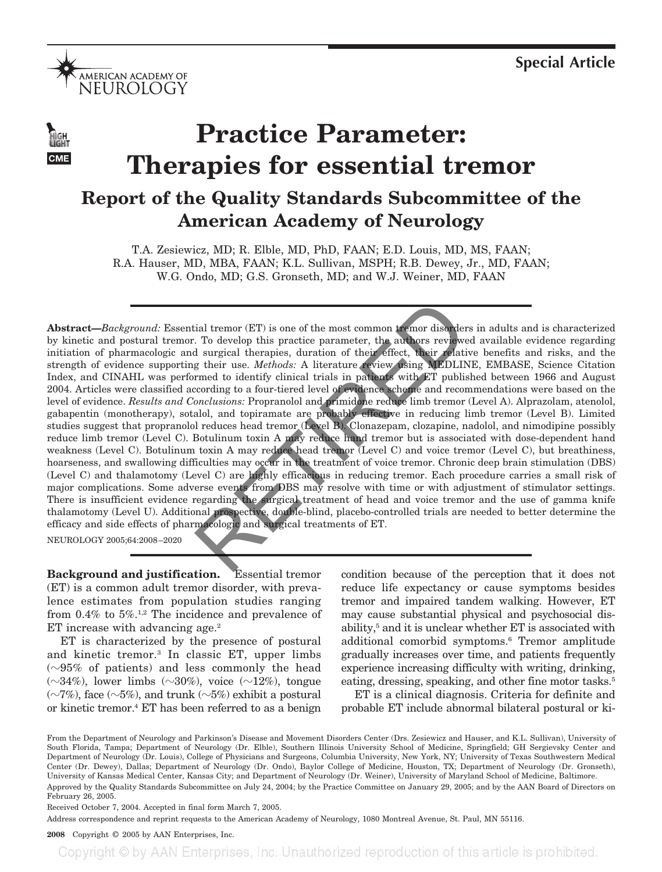

**CME**

## **Practice Parameter: Therapies for essential tremor**

### **Report of the Quality Standards Subcommittee of the American Academy of Neurology**

T.A. Zesiewicz, MD; R. Elble, MD, PhD, FAAN; E.D. Louis, MD, MS, FAAN; R.A. Hauser, MD, MBA, FAAN; K.L. Sullivan, MSPH; R.B. Dewey, Jr., MD, FAAN; W.G. Ondo, MD; G.S. Gronseth, MD; and W.J. Weiner, MD, FAAN

**Abstract—***Background:* Essential tremor (ET) is one of the most common tremor disorders in adults and is characterized by kinetic and postural tremor. To develop this practice parameter, the authors reviewed available evidence regarding initiation of pharmacologic and surgical therapies, duration of their effect, their relative benefits and risks, and the strength of evidence supporting their use. *Methods:* A literature review using MEDLINE, EMBASE, Science Citation Index, and CINAHL was performed to identify clinical trials in patients with ET published between 1966 and August 2004. Articles were classified according to a four-tiered level of evidence scheme and recommendations were based on the level of evidence. *Results and Conclusions:* Propranolol and primidone reduce limb tremor (Level A). Alprazolam, atenolol, gabapentin (monotherapy), sotalol, and topiramate are probably effective in reducing limb tremor (Level B). Limited studies suggest that propranolol reduces head tremor (Level B). Clonazepam, clozapine, nadolol, and nimodipine possibly reduce limb tremor (Level C). Botulinum toxin A may reduce hand tremor but is associated with dose-dependent hand weakness (Level C). Botulinum toxin A may reduce head tremor (Level C) and voice tremor (Level C), but breathiness, hoarseness, and swallowing difficulties may occur in the treatment of voice tremor. Chronic deep brain stimulation (DBS) (Level C) and thalamotomy (Level C) are highly efficacious in reducing tremor. Each procedure carries a small risk of major complications. Some adverse events from DBS may resolve with time or with adjustment of stimulator settings. There is insufficient evidence regarding the surgical treatment of head and voice tremor and the use of gamma knife thalamotomy (Level U). Additional prospective, double-blind, placebo-controlled trials are needed to better determine the efficacy and side effects of pharmacologic and surgical treatments of ET. ial tremor (ET) is one of the most common tremor disorder. To develop this practice parameter, the authors review as surgical therapies, duration of their effect, their relations are developed their use. *Methods:* A liter

NEUROLOGY 2005;64:2008 –2020

**Background and justification.** Essential tremor (ET) is a common adult tremor disorder, with prevalence estimates from population studies ranging from  $0.4\%$  to  $5\%$ .<sup>1,2</sup> The incidence and prevalence of ET increase with advancing age.<sup>2</sup>

ET is characterized by the presence of postural and kinetic tremor.3 In classic ET, upper limbs  $(\sim)5\%$  of patients) and less commonly the head  $(\sim 34\%)$ , lower limbs  $(\sim 30\%)$ , voice  $(\sim 12\%)$ , tongue  $(\sim 7\%)$ , face  $(\sim 5\%)$ , and trunk  $(\sim 5\%)$  exhibit a postural or kinetic tremor.4 ET has been referred to as a benign

condition because of the perception that it does not reduce life expectancy or cause symptoms besides tremor and impaired tandem walking. However, ET may cause substantial physical and psychosocial disability,5 and it is unclear whether ET is associated with additional comorbid symptoms.6 Tremor amplitude gradually increases over time, and patients frequently experience increasing difficulty with writing, drinking, eating, dressing, speaking, and other fine motor tasks.<sup>5</sup>

ET is a clinical diagnosis. Criteria for definite and probable ET include abnormal bilateral postural or ki-

From the Department of Neurology and Parkinson's Disease and Movement Disorders Center (Drs. Zesiewicz and Hauser, and K.L. Sullivan), University of South Florida, Tampa; Department of Neurology (Dr. Elble), Southern Illinois University School of Medicine, Springfield; GH Sergievsky Center and Department of Neurology (Dr. Louis), College of Physicians and Surgeons, Columbia University, New York, NY; University of Texas Southwestern Medical Center (Dr. Dewey), Dallas; Department of Neurology (Dr. Ondo), Baylor College of Medicine, Houston, TX; Department of Neurology (Dr. Gronseth), University of Kansas Medical Center, Kansas City; and Department of Neurology (Dr. Weiner), University of Maryland School of Medicine, Baltimore. Approved by the Quality Standards Subcommittee on July 24, 2004; by the Practice Committee on January 29, 2005; and by the AAN Board of Directors on February 26, 2005.

Received October 7, 2004. Accepted in final form March 7, 2005.

Address correspondence and reprint requests to the American Academy of Neurology, 1080 Montreal Avenue, St. Paul, MN 55116.

#### **2008** Copyright © 2005 by AAN Enterprises, Inc.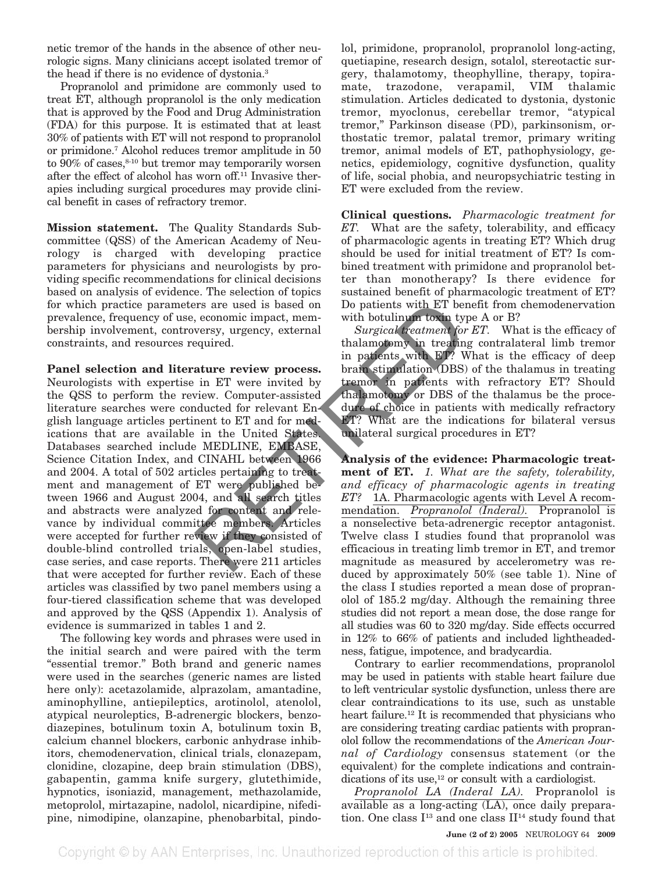netic tremor of the hands in the absence of other neurologic signs. Many clinicians accept isolated tremor of the head if there is no evidence of dystonia.3

Propranolol and primidone are commonly used to treat ET, although propranolol is the only medication that is approved by the Food and Drug Administration (FDA) for this purpose. It is estimated that at least 30% of patients with ET will not respond to propranolol or primidone.7 Alcohol reduces tremor amplitude in 50 to 90% of cases, 8-10 but tremor may temporarily worsen after the effect of alcohol has worn off.11 Invasive therapies including surgical procedures may provide clinical benefit in cases of refractory tremor.

**Mission statement.** The Quality Standards Subcommittee (QSS) of the American Academy of Neurology is charged with developing practice parameters for physicians and neurologists by providing specific recommendations for clinical decisions based on analysis of evidence. The selection of topics for which practice parameters are used is based on prevalence, frequency of use, economic impact, membership involvement, controversy, urgency, external constraints, and resources required.

**Panel selection and literature review process.** Neurologists with expertise in ET were invited by the QSS to perform the review. Computer-assisted literature searches were conducted for relevant English language articles pertinent to ET and for medications that are available in the United States. Databases searched include MEDLINE, EMBASE, Science Citation Index, and CINAHL between 1966 and 2004. A total of 502 articles pertaining to treatment and management of ET were published between 1966 and August 2004, and all search titles and abstracts were analyzed for content and relevance by individual committee members. Articles were accepted for further review if they consisted of double-blind controlled trials, open-label studies, case series, and case reports. There were 211 articles that were accepted for further review. Each of these articles was classified by two panel members using a four-tiered classification scheme that was developed and approved by the QSS (Appendix 1). Analysis of evidence is summarized in tables 1 and 2. For any stress are used is based on the position of the bottling<br>
the economic impact, memory with bottling toxin types were allowed that<br>
a structure review process.<br>
The magnitudition (DBS) in ET were invited by tremor

The following key words and phrases were used in the initial search and were paired with the term "essential tremor." Both brand and generic names were used in the searches (generic names are listed here only): acetazolamide, alprazolam, amantadine, aminophylline, antiepileptics, arotinolol, atenolol, atypical neuroleptics, B-adrenergic blockers, benzodiazepines, botulinum toxin A, botulinum toxin B, calcium channel blockers, carbonic anhydrase inhibitors, chemodenervation, clinical trials, clonazepam, clonidine, clozapine, deep brain stimulation (DBS), gabapentin, gamma knife surgery, glutethimide, hypnotics, isoniazid, management, methazolamide, metoprolol, mirtazapine, nadolol, nicardipine, nifedipine, nimodipine, olanzapine, phenobarbital, pindolol, primidone, propranolol, propranolol long-acting, quetiapine, research design, sotalol, stereotactic surgery, thalamotomy, theophylline, therapy, topiramate, trazodone, verapamil, VIM thalamic stimulation. Articles dedicated to dystonia, dystonic tremor, myoclonus, cerebellar tremor, "atypical tremor," Parkinson disease (PD), parkinsonism, orthostatic tremor, palatal tremor, primary writing tremor, animal models of ET, pathophysiology, genetics, epidemiology, cognitive dysfunction, quality of life, social phobia, and neuropsychiatric testing in ET were excluded from the review.

**Clinical questions.** *Pharmacologic treatment for ET.* What are the safety, tolerability, and efficacy of pharmacologic agents in treating ET? Which drug should be used for initial treatment of ET? Is combined treatment with primidone and propranolol better than monotherapy? Is there evidence for sustained benefit of pharmacologic treatment of ET? Do patients with ET benefit from chemodenervation with botulinum toxin type A or B?

*Surgical treatment for ET.* What is the efficacy of thalamotomy in treating contralateral limb tremor in patients with ET? What is the efficacy of deep brain stimulation (DBS) of the thalamus in treating tremor in patients with refractory ET? Should thalamotomy or DBS of the thalamus be the procedure of choice in patients with medically refractory ET? What are the indications for bilateral versus unilateral surgical procedures in ET?

**Analysis of the evidence: Pharmacologic treatment of ET.** *1. What are the safety, tolerability, and efficacy of pharmacologic agents in treating ET?* 1A. Pharmacologic agents with Level A recommendation. *Propranolol (Inderal).* Propranolol is a nonselective beta-adrenergic receptor antagonist. Twelve class I studies found that propranolol was efficacious in treating limb tremor in ET, and tremor magnitude as measured by accelerometry was reduced by approximately 50% (see table 1). Nine of the class I studies reported a mean dose of propranolol of 185.2 mg/day. Although the remaining three studies did not report a mean dose, the dose range for all studies was 60 to 320 mg/day. Side effects occurred in 12% to 66% of patients and included lightheadedness, fatigue, impotence, and bradycardia.

Contrary to earlier recommendations, propranolol may be used in patients with stable heart failure due to left ventricular systolic dysfunction, unless there are clear contraindications to its use, such as unstable heart failure.<sup>12</sup> It is recommended that physicians who are considering treating cardiac patients with propranolol follow the recommendations of the *American Journal of Cardiology* consensus statement (or the equivalent) for the complete indications and contraindications of its use, $12$  or consult with a cardiologist.

*Propranolol LA (Inderal LA).* Propranolol is available as a long-acting (LA), once daily preparation. One class  $I^{13}$  and one class  $II^{14}$  study found that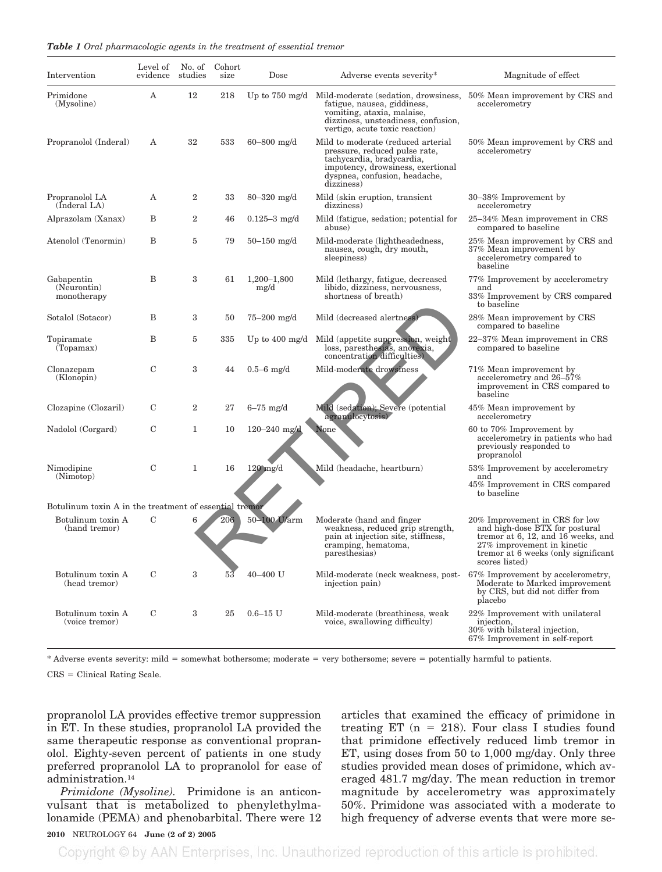|  |  | <b>Table 1</b> Oral pharmacologic agents in the treatment of essential tremor |  |  |  |  |  |
|--|--|-------------------------------------------------------------------------------|--|--|--|--|--|
|--|--|-------------------------------------------------------------------------------|--|--|--|--|--|

| Intervention                                           | Level of<br>evidence | No. of<br>studies | Cohort<br>size | Dose                     | Adverse events severity*                                                                                                                                                                  | Magnitude of effect                                                                                                                                                                           |
|--------------------------------------------------------|----------------------|-------------------|----------------|--------------------------|-------------------------------------------------------------------------------------------------------------------------------------------------------------------------------------------|-----------------------------------------------------------------------------------------------------------------------------------------------------------------------------------------------|
| Primidone<br>(Mysoline)                                | Α                    | 12                | 218            |                          | Up to 750 mg/d Mild-moderate (sedation, drowsiness,<br>fatigue, nausea, giddiness,<br>vomiting, ataxia, malaise,<br>dizziness, unsteadiness, confusion,<br>vertigo, acute toxic reaction) | 50% Mean improvement by CRS and<br>accelerometry                                                                                                                                              |
| Propranolol (Inderal)                                  | А                    | 32                | 533            | $60 - 800$ mg/d          | Mild to moderate (reduced arterial<br>pressure, reduced pulse rate,<br>tachycardia, bradycardia,<br>impotency, drowsiness, exertional<br>dyspnea, confusion, headache,<br>dizziness)      | 50% Mean improvement by CRS and<br>accelerometry                                                                                                                                              |
| Propranolol LA<br>(Inderal LA)                         | Α                    | $\overline{2}$    | 33             | $80 - 320$ mg/d          | Mild (skin eruption, transient<br>dizziness)                                                                                                                                              | 30–38% Improvement by<br>accelerometry                                                                                                                                                        |
| Alprazolam (Xanax)                                     | B                    | $\overline{2}$    | 46             | $0.125 - 3$ mg/d         | Mild (fatigue, sedation; potential for<br>abuse)                                                                                                                                          | 25-34% Mean improvement in CRS<br>compared to baseline                                                                                                                                        |
| Atenolol (Tenormin)                                    | B                    | 5                 | 79             | $50 - 150$ mg/d          | Mild-moderate (lightheadedness,<br>nausea, cough, dry mouth,<br>sleepiness)                                                                                                               | 25% Mean improvement by CRS and<br>37% Mean improvement by<br>accelerometry compared to<br>baseline                                                                                           |
| Gabapentin<br>(Neurontin)<br>monotherapy               | B                    | 3                 | 61             | $1,200 - 1,800$<br>mg/d  | Mild (lethargy, fatigue, decreased<br>libido, dizziness, nervousness,<br>shortness of breath)                                                                                             | 77% Improvement by accelerometry<br>and<br>33% Improvement by CRS compared<br>to baseline                                                                                                     |
| Sotalol (Sotacor)                                      | B                    | 3                 | 50             | $75 - 200$ mg/d          | Mild (decreased alertness)                                                                                                                                                                | 28% Mean improvement by CRS<br>compared to baseline                                                                                                                                           |
| Topiramate<br>(Topamax)                                | B                    | 5                 | 335            | Up to $400 \text{ mg/d}$ | Mild (appetite suppression, weight<br>loss, paresthesias, anorexia,<br>concentration difficulties)                                                                                        | 22–37% Mean improvement in CRS<br>compared to baseline                                                                                                                                        |
| Clonazepam<br>(Klonopin)                               | $\mathbf C$          | 3                 | 44             | $0.5 - 6$ mg/d           | Mild-moderate drowsiness                                                                                                                                                                  | 71% Mean improvement by<br>accelerometry and 26-57%<br>improvement in CRS compared to<br>baseline                                                                                             |
| Clozapine (Clozaril)                                   | C                    | $\boldsymbol{2}$  | 27             | $6-75$ mg/d              | Mild (sedation); Severe (potential<br>agranulocytosis)                                                                                                                                    | 45% Mean improvement by<br>accelerometry                                                                                                                                                      |
| Nadolol (Corgard)                                      | $\mathbf C$          | $\mathbf{1}$      | 10             | 120-240 mg/d             | None                                                                                                                                                                                      | 60 to 70% Improvement by<br>accelerometry in patients who had<br>previously responded to<br>propranolol                                                                                       |
| Nimodipine<br>(Nimotop)                                | $\mathbf C$          | $\mathbf{1}$      | 16             | $120$ mg/d               | Mild (headache, heartburn)                                                                                                                                                                | 53% Improvement by accelerometry<br>and<br>45% Improvement in CRS compared<br>to baseline                                                                                                     |
| Botulinum toxin A in the treatment of essential tremor |                      |                   |                |                          |                                                                                                                                                                                           |                                                                                                                                                                                               |
| Botulinum toxin A<br>(hand tremor)                     | C                    | 6                 | 206            | 50-100 U/arm             | Moderate (hand and finger<br>weakness, reduced grip strength,<br>pain at injection site, stiffness,<br>cramping, hematoma,<br>paresthesias)                                               | 20% Improvement in CRS for low<br>and high-dose BTX for postural<br>tremor at 6, 12, and 16 weeks, and<br>27% improvement in kinetic<br>tremor at 6 weeks (only significant<br>scores listed) |
| Botulinum toxin A<br>(head tremor)                     | $\mathbf C$          | 3                 | 53             | $40 - 400$ U             | Mild-moderate (neck weakness, post-<br>injection pain)                                                                                                                                    | 67% Improvement by accelerometry,<br>Moderate to Marked improvement<br>by CRS, but did not differ from<br>placebo                                                                             |
| Botulinum toxin A<br>(voice tremor)                    | C                    | 3                 | 25             | $0.6 - 15$ U             | Mild-moderate (breathiness, weak<br>voice, swallowing difficulty)                                                                                                                         | 22% Improvement with unilateral<br>injection,<br>30% with bilateral injection,<br>67% Improvement in self-report                                                                              |

\* Adverse events severity: mild somewhat bothersome; moderate very bothersome; severe potentially harmful to patients.

 $CRS = Clinical Rating Scale.$ 

propranolol LA provides effective tremor suppression in ET. In these studies, propranolol LA provided the same therapeutic response as conventional propranolol. Eighty-seven percent of patients in one study preferred propranolol LA to propranolol for ease of administration.14

*Primidone (Mysoline).* Primidone is an anticonvulsant that is metabolized to phenylethylmalonamide (PEMA) and phenobarbital. There were 12

articles that examined the efficacy of primidone in treating ET  $(n = 218)$ . Four class I studies found that primidone effectively reduced limb tremor in ET, using doses from 50 to 1,000 mg/day. Only three studies provided mean doses of primidone, which averaged 481.7 mg/day. The mean reduction in tremor magnitude by accelerometry was approximately 50%. Primidone was associated with a moderate to high frequency of adverse events that were more se-

#### **2010** NEUROLOGY 64 **June (2 of 2) 2005**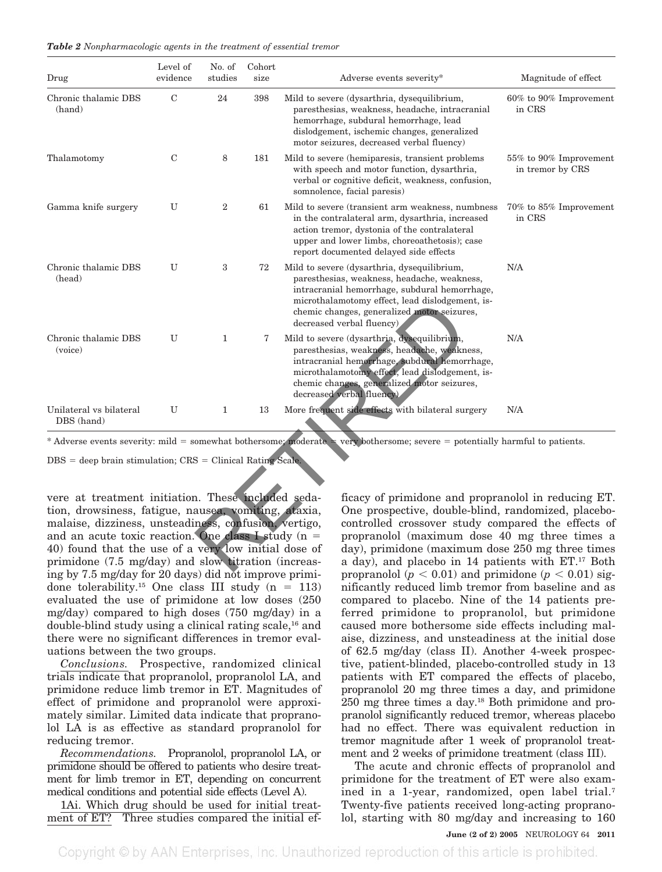|  |  |  |  |  |  |  |  | <b>Table 2</b> Nonpharmacologic agents in the treatment of essential tremor |  |  |  |
|--|--|--|--|--|--|--|--|-----------------------------------------------------------------------------|--|--|--|
|--|--|--|--|--|--|--|--|-----------------------------------------------------------------------------|--|--|--|

| Drug                                                                                                                                                                                                                                                                                                                                        | Level of<br>evidence | No. of<br>studies | Cohort<br>size | Adverse events severity*                                                                                                                                                                                                                                                                                                                                      | Magnitude of effect                        |
|---------------------------------------------------------------------------------------------------------------------------------------------------------------------------------------------------------------------------------------------------------------------------------------------------------------------------------------------|----------------------|-------------------|----------------|---------------------------------------------------------------------------------------------------------------------------------------------------------------------------------------------------------------------------------------------------------------------------------------------------------------------------------------------------------------|--------------------------------------------|
| Chronic thalamic DBS<br>(hand)                                                                                                                                                                                                                                                                                                              | C                    | 24                | 398            | Mild to severe (dysarthria, dysequilibrium,<br>paresthesias, weakness, headache, intracranial<br>hemorrhage, subdural hemorrhage, lead<br>dislodgement, ischemic changes, generalized<br>motor seizures, decreased verbal fluency)                                                                                                                            | 60% to 90% Improvement<br>in CRS           |
| Thalamotomy                                                                                                                                                                                                                                                                                                                                 | $\mathbf C$          | 8                 | 181            | Mild to severe (hemiparesis, transient problems<br>with speech and motor function, dysarthria,<br>verbal or cognitive deficit, weakness, confusion,<br>somnolence, facial paresis)                                                                                                                                                                            | 55% to 90% Improvement<br>in tremor by CRS |
| Gamma knife surgery                                                                                                                                                                                                                                                                                                                         | U                    | $\boldsymbol{2}$  | 61             | Mild to severe (transient arm weakness, numbness<br>in the contralateral arm, dysarthria, increased<br>action tremor, dystonia of the contralateral<br>upper and lower limbs, choreoathetosis); case<br>report documented delayed side effects                                                                                                                | 70% to 85% Improvement<br>in CRS           |
| Chronic thalamic DBS<br>(head)                                                                                                                                                                                                                                                                                                              | U                    | 3                 | 72             | Mild to severe (dysarthria, dysequilibrium,<br>paresthesias, weakness, headache, weakness,<br>intracranial hemorrhage, subdural hemorrhage,<br>microthalamotomy effect, lead dislodgement, is-<br>chemic changes, generalized motor seizures,<br>decreased verbal fluency)                                                                                    | N/A                                        |
| Chronic thalamic DBS<br>(voice)                                                                                                                                                                                                                                                                                                             | U                    | $\mathbf{1}$      | 7              | Mild to severe (dysarthria, dysequilibrium,<br>paresthesias, weakness, headache, weakness,<br>intracranial hemorrhage, subdural hemorrhage,<br>microthalamotomy effect, lead dislodgement, is-<br>chemic changes, generalized motor seizures,<br>decreased verbal fluency).                                                                                   | N/A                                        |
| Unilateral vs bilateral<br>DBS (hand)                                                                                                                                                                                                                                                                                                       | U                    | $\mathbf{1}$      | 13             | More frequent side effects with bilateral surgery                                                                                                                                                                                                                                                                                                             | N/A                                        |
|                                                                                                                                                                                                                                                                                                                                             |                      |                   |                | * Adverse events severity: mild = somewhat bothersome; moderate = very bothersome; severe = potentially harmful to patients.                                                                                                                                                                                                                                  |                                            |
| $DBS = deep brain stimulation; CRS = Clinical Rating Scale.$                                                                                                                                                                                                                                                                                |                      |                   |                |                                                                                                                                                                                                                                                                                                                                                               |                                            |
| vere at treatment initiation. These included seda-<br>tion, drowsiness, fatigue, nausea, vomiting, ataxia,<br>malaise, dizziness, unsteadiness, confusion, vertigo,<br>and an acute toxic reaction. One class I study $(n =$<br>40) found that the use of a very low initial dose of<br>primidone (7.5 mg/day) and slow titration (increas- | $00$ 1 $11$          |                   |                | ficacy of primidone and propranolol in reducing ET.<br>One prospective, double-blind, randomized, placebo-<br>controlled crossover study compared the effects of<br>propranolol (maximum dose 40 mg three times a<br>day), primidone (maximum dose 250 mg three times<br>a day), and placebo in 14 patients with ET. <sup>17</sup> Both<br>$\sim$ 0.04 $\sim$ |                                            |

vere at treatment initiation. These included sedation, drowsiness, fatigue, nausea, vomiting, ataxia, malaise, dizziness, unsteadiness, confusion, vertigo, and an acute toxic reaction. One class I study  $(n =$ 40) found that the use of a very low initial dose of primidone (7.5 mg/day) and slow titration (increasing by 7.5 mg/day for 20 days) did not improve primidone tolerability.<sup>15</sup> One class III study  $(n = 113)$ evaluated the use of primidone at low doses (250 mg/day) compared to high doses (750 mg/day) in a double-blind study using a clinical rating scale,<sup>16</sup> and there were no significant differences in tremor evaluations between the two groups.

*Conclusions.* Prospective, randomized clinical trials indicate that propranolol, propranolol LA, and primidone reduce limb tremor in ET. Magnitudes of effect of primidone and propranolol were approximately similar. Limited data indicate that propranolol LA is as effective as standard propranolol for reducing tremor.

*Recommendations.* Propranolol, propranolol LA, or primidone should be offered to patients who desire treatment for limb tremor in ET, depending on concurrent medical conditions and potential side effects (Level A).

1Ai. Which drug should be used for initial treatment of ET? Three studies compared the initial efficacy of primidone and propranolol in reducing ET. One prospective, double-blind, randomized, placebocontrolled crossover study compared the effects of propranolol (maximum dose 40 mg three times a day), primidone (maximum dose 250 mg three times a day), and placebo in 14 patients with ET.17 Both propranolol ( $p < 0.01$ ) and primidone ( $p < 0.01$ ) significantly reduced limb tremor from baseline and as compared to placebo. Nine of the 14 patients preferred primidone to propranolol, but primidone caused more bothersome side effects including malaise, dizziness, and unsteadiness at the initial dose of 62.5 mg/day (class II). Another 4-week prospective, patient-blinded, placebo-controlled study in 13 patients with ET compared the effects of placebo, propranolol 20 mg three times a day, and primidone 250 mg three times a day.18 Both primidone and propranolol significantly reduced tremor, whereas placebo had no effect. There was equivalent reduction in tremor magnitude after 1 week of propranolol treatment and 2 weeks of primidone treatment (class III).

The acute and chronic effects of propranolol and primidone for the treatment of ET were also examined in a 1-year, randomized, open label trial.7 Twenty-five patients received long-acting propranolol, starting with 80 mg/day and increasing to 160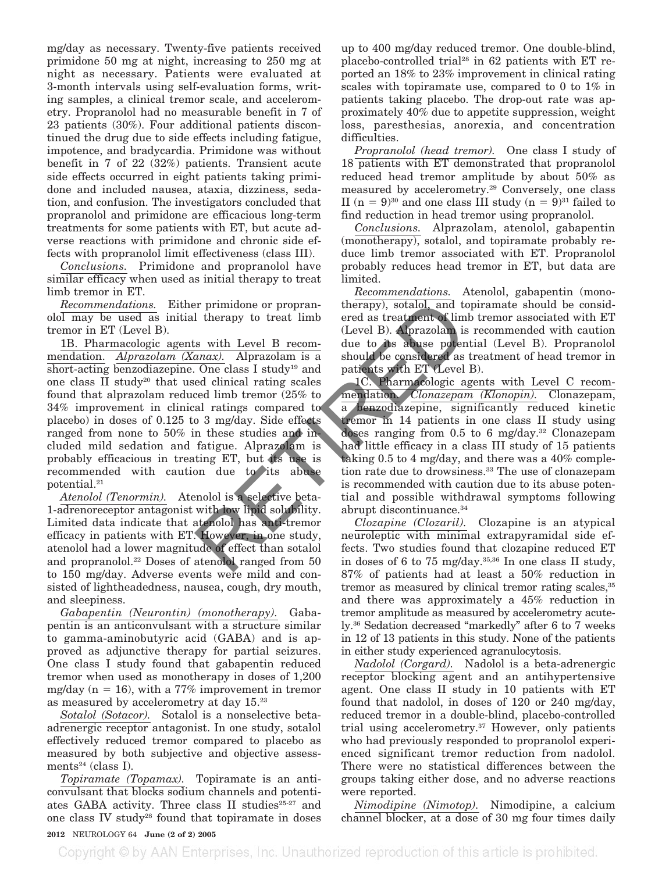mg/day as necessary. Twenty-five patients received primidone 50 mg at night, increasing to 250 mg at night as necessary. Patients were evaluated at 3-month intervals using self-evaluation forms, writing samples, a clinical tremor scale, and accelerometry. Propranolol had no measurable benefit in 7 of 23 patients (30%). Four additional patients discontinued the drug due to side effects including fatigue, impotence, and bradycardia. Primidone was without benefit in 7 of 22 (32%) patients. Transient acute side effects occurred in eight patients taking primidone and included nausea, ataxia, dizziness, sedation, and confusion. The investigators concluded that propranolol and primidone are efficacious long-term treatments for some patients with ET, but acute adverse reactions with primidone and chronic side effects with propranolol limit effectiveness (class III).

*Conclusions.* Primidone and propranolol have similar efficacy when used as initial therapy to treat limb tremor in ET.

*Recommendations.* Either primidone or propran $olo$  may be used as initial therapy to treat limb tremor in ET (Level B).

1B. Pharmacologic agents with Level B recommendation. *Alprazolam (Xanax).* Alprazolam is a short-acting benzodiazepine. One class I study<sup>19</sup> and one class II study20 that used clinical rating scales found that alprazolam reduced limb tremor (25% to 34% improvement in clinical ratings compared to placebo) in doses of 0.125 to 3 mg/day. Side effects ranged from none to 50% in these studies and included mild sedation and fatigue. Alprazolam is probably efficacious in treating ET, but its use is recommended with caution due to its abuse potential.21 For primidone or proprameters of limit in the same of limit in the same of limit in the same of limit in the same of limit in the same of the same of the same of the same of the deal initial rating scales and patients wit

*Atenolol (Tenormin).* Atenolol is a selective beta-1-adrenoreceptor antagonist with low lipid solubility. Limited data indicate that atenolol has anti-tremor efficacy in patients with ET. However, in one study, atenolol had a lower magnitude of effect than sotalol and propranolol.22 Doses of atenolol ranged from 50 to 150 mg/day. Adverse events were mild and consisted of lightheadedness, nausea, cough, dry mouth, and sleepiness.

*Gabapentin (Neurontin) (monotherapy).* Gabapentin is an anticonvulsant with a structure similar to gamma-aminobutyric acid (GABA) and is approved as adjunctive therapy for partial seizures. One class I study found that gabapentin reduced tremor when used as monotherapy in doses of 1,200 mg/day ( $n = 16$ ), with a 77% improvement in tremor as measured by accelerometry at day 15.23

*Sotalol (Sotacor).* Sotalol is a nonselective betaadrenergic receptor antagonist. In one study, sotalol effectively reduced tremor compared to placebo as measured by both subjective and objective assessments<sup>24</sup> (class I).

*Topiramate (Topamax).* Topiramate is an anticonvulsant that blocks sodium channels and potentiates GABA activity. Three class II studies<sup>25-27</sup> and one class IV study28 found that topiramate in doses

up to 400 mg/day reduced tremor. One double-blind, placebo-controlled trial28 in 62 patients with ET reported an 18% to 23% improvement in clinical rating scales with topiramate use, compared to 0 to 1% in patients taking placebo. The drop-out rate was approximately 40% due to appetite suppression, weight loss, paresthesias, anorexia, and concentration difficulties.

*Propranolol (head tremor).* One class I study of 18 patients with ET demonstrated that propranolol reduced head tremor amplitude by about 50% as measured by accelerometry.29 Conversely, one class II (n = 9)<sup>30</sup> and one class III study (n = 9)<sup>31</sup> failed to find reduction in head tremor using propranolol.

*Conclusions.* Alprazolam, atenolol, gabapentin (monotherapy), sotalol, and topiramate probably reduce limb tremor associated with ET. Propranolol probably reduces head tremor in ET, but data are limited.

*Recommendations.* Atenolol, gabapentin (monotherapy), sotalol, and topiramate should be considered as treatment of limb tremor associated with ET (Level B). Alprazolam is recommended with caution due to its abuse potential (Level B). Propranolol should be considered as treatment of head tremor in patients with ET (Level B).

1C. Pharmacologic agents with Level C recommendation. *Clonazepam (Klonopin).* Clonazepam, a benzodiazepine, significantly reduced kinetic tremor in 14 patients in one class II study using doses ranging from 0.5 to 6 mg/day.32 Clonazepam had little efficacy in a class III study of 15 patients taking 0.5 to 4 mg/day, and there was a 40% completion rate due to drowsiness.33 The use of clonazepam is recommended with caution due to its abuse potential and possible withdrawal symptoms following abrupt discontinuance.34

*Clozapine (Clozaril).* Clozapine is an atypical neuroleptic with minimal extrapyramidal side effects. Two studies found that clozapine reduced ET in doses of 6 to 75 mg/day.35,36 In one class II study, 87% of patients had at least a 50% reduction in tremor as measured by clinical tremor rating scales,<sup>35</sup> and there was approximately a 45% reduction in tremor amplitude as measured by accelerometry acutely.36 Sedation decreased "markedly" after 6 to 7 weeks in 12 of 13 patients in this study. None of the patients in either study experienced agranulocytosis.

*Nadolol (Corgard).* Nadolol is a beta-adrenergic receptor blocking agent and an antihypertensive agent. One class II study in 10 patients with ET found that nadolol, in doses of 120 or 240 mg/day, reduced tremor in a double-blind, placebo-controlled trial using accelerometry.37 However, only patients who had previously responded to propranolol experienced significant tremor reduction from nadolol. There were no statistical differences between the groups taking either dose, and no adverse reactions were reported.

*Nimodipine (Nimotop).* Nimodipine, a calcium channel blocker, at a dose of 30 mg four times daily

#### **2012** NEUROLOGY 64 **June (2 of 2) 2005**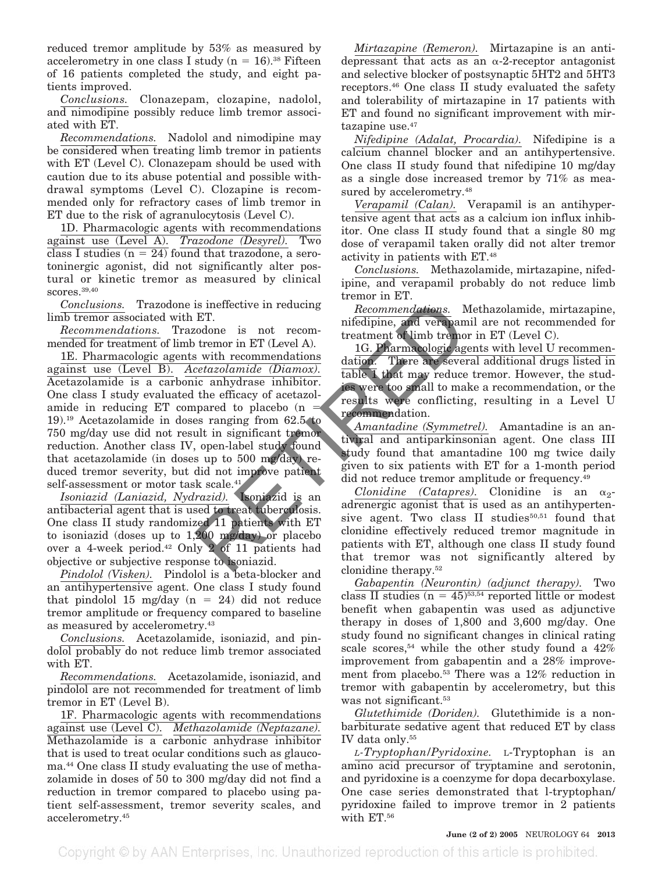reduced tremor amplitude by 53% as measured by accelerometry in one class I study ( $n = 16$ ).<sup>38</sup> Fifteen of 16 patients completed the study, and eight patients improved.

*Conclusions.* Clonazepam, clozapine, nadolol, and nimodipine possibly reduce limb tremor associated with ET.

*Recommendations.* Nadolol and nimodipine may be considered when treating limb tremor in patients with ET (Level C). Clonazepam should be used with caution due to its abuse potential and possible withdrawal symptoms (Level C). Clozapine is recommended only for refractory cases of limb tremor in ET due to the risk of agranulocytosis (Level C).

1D. Pharmacologic agents with recommendations against use (Level A). *Trazodone (Desyrel).* Two class I studies  $(n = 24)$  found that trazodone, a serotoninergic agonist, did not significantly alter postural or kinetic tremor as measured by clinical scores.39,40

*Conclusions.* Trazodone is ineffective in reducing limb tremor associated with ET.

*Recommendations.* Trazodone is not recommended for treatment of limb tremor in ET (Level A).

1E. Pharmacologic agents with recommendations against use (Level B). *Acetazolamide (Diamox).* Acetazolamide is a carbonic anhydrase inhibitor. One class I study evaluated the efficacy of acetazolamide in reducing ET compared to placebo (n 19).19 Acetazolamide in doses ranging from 62.5 to 750 mg/day use did not result in significant tremor reduction. Another class IV, open-label study found that acetazolamide (in doses up to 500 mg/day) reduced tremor severity, but did not improve patient self-assessment or motor task scale.<sup>41</sup> is ineffective in reducing<br>
ET.<br>
codone is not recommendations. Infedipine, and verapant<br>
treatment of limb tremor<br>
treatment of limb tremor<br>
treatment of limb tremor<br>
treatment of limb tremor<br>
treatment of limb tremor<br>
t

*Isoniazid (Laniazid, Nydrazid).* Isoniazid is an antibacterial agent that is used to treat tuberculosis. One class II study randomized 11 patients with ET to isoniazid (doses up to 1,200 mg/day) or placebo over a 4-week period.42 Only 2 of 11 patients had objective or subjective response to isoniazid.

*Pindolol (Visken)*. Pindolol is a beta-blocker and an antihypertensive agent. One class I study found that pindolol 15 mg/day  $(n = 24)$  did not reduce tremor amplitude or frequency compared to baseline as measured by accelerometry.43

*Conclusions.* Acetazolamide, isoniazid, and pindolol probably do not reduce limb tremor associated with ET.

*Recommendations.* Acetazolamide, isoniazid, and pindolol are not recommended for treatment of limb tremor in ET (Level B).

1F. Pharmacologic agents with recommendations against use (Level C). *Methazolamide (Neptazane).* Methazolamide is a carbonic anhydrase inhibitor that is used to treat ocular conditions such as glaucoma.44 One class II study evaluating the use of methazolamide in doses of 50 to 300 mg/day did not find a reduction in tremor compared to placebo using patient self-assessment, tremor severity scales, and accelerometry.45

*Mirtazapine (Remeron).* Mirtazapine is an antidepressant that acts as an  $\alpha$ -2-receptor antagonist and selective blocker of postsynaptic 5HT2 and 5HT3 receptors.46 One class II study evaluated the safety and tolerability of mirtazapine in 17 patients with ET and found no significant improvement with mirtazapine use.<sup>47</sup>

*Nifedipine (Adalat, Procardia).* Nifedipine is a calcium channel blocker and an antihypertensive. One class II study found that nifedipine 10 mg/day as a single dose increased tremor by 71% as measured by accelerometry.<sup>48</sup>

*Verapamil (Calan).* Verapamil is an antihypertensive agent that acts as a calcium ion influx inhibitor. One class II study found that a single 80 mg dose of verapamil taken orally did not alter tremor activity in patients with ET.48

*Conclusions.* Methazolamide, mirtazapine, nifedipine, and verapamil probably do not reduce limb tremor in ET.

*Recommendations.* Methazolamide, mirtazapine, nifedipine, and verapamil are not recommended for treatment of limb tremor in ET (Level C).

1G. Pharmacologic agents with level U recommendation. There are several additional drugs listed in table 1 that may reduce tremor. However, the studies were too small to make a recommendation, or the results were conflicting, resulting in a Level U recommendation.

*Amantadine (Symmetrel).* Amantadine is an antiviral and antiparkinsonian agent. One class III study found that amantadine 100 mg twice daily given to six patients with ET for a 1-month period did not reduce tremor amplitude or frequency.49

*Clonidine (Catapres).* Clonidine is an  $\alpha_2$ adrenergic agonist that is used as an antihypertensive agent. Two class II studies<sup>50,51</sup> found that clonidine effectively reduced tremor magnitude in patients with ET, although one class II study found that tremor was not significantly altered by clonidine therapy.52

*Gabapentin (Neurontin) (adjunct therapy).* Two class II studies ( $n = 45$ )<sup>53,54</sup> reported little or modest benefit when gabapentin was used as adjunctive therapy in doses of 1,800 and 3,600 mg/day. One study found no significant changes in clinical rating scale scores,<sup>54</sup> while the other study found a  $42\%$ improvement from gabapentin and a 28% improvement from placebo.<sup>53</sup> There was a 12% reduction in tremor with gabapentin by accelerometry, but this was not significant.<sup>53</sup>

*Glutethimide (Doriden).* Glutethimide is a nonbarbiturate sedative agent that reduced ET by class IV data only.55

*L-Tryptophan/Pyridoxine.* L-Tryptophan is an amino acid precursor of tryptamine and serotonin, and pyridoxine is a coenzyme for dopa decarboxylase. One case series demonstrated that l-tryptophan/ pyridoxine failed to improve tremor in 2 patients with ET.<sup>56</sup>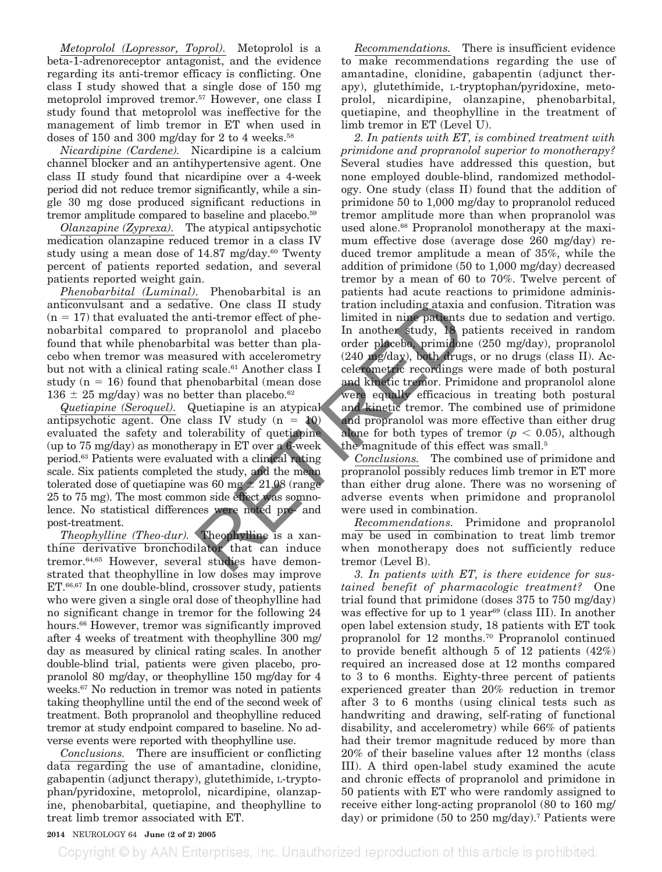*Metoprolol (Lopressor, Toprol).* Metoprolol is a beta-1-adrenoreceptor antagonist, and the evidence regarding its anti-tremor efficacy is conflicting. One class I study showed that a single dose of 150 mg metoprolol improved tremor.57 However, one class I study found that metoprolol was ineffective for the management of limb tremor in ET when used in doses of 150 and 300 mg/day for 2 to 4 weeks.<sup>58</sup>

*Nicardipine (Cardene).* Nicardipine is a calcium channel blocker and an antihypertensive agent. One class II study found that nicardipine over a 4-week period did not reduce tremor significantly, while a single 30 mg dose produced significant reductions in tremor amplitude compared to baseline and placebo.59

*Olanzapine (Zyprexa).* The atypical antipsychotic medication olanzapine reduced tremor in a class IV study using a mean dose of  $14.87$  mg/day.<sup>60</sup> Twenty percent of patients reported sedation, and several patients reported weight gain.

*Phenobarbital (Luminal).* Phenobarbital is an anticonvulsant and a sedative. One class II study  $(n = 17)$  that evaluated the anti-tremor effect of phenobarbital compared to propranolol and placebo found that while phenobarbital was better than placebo when tremor was measured with accelerometry but not with a clinical rating scale.<sup>61</sup> Another class I study  $(n = 16)$  found that phenobarbital (mean dose  $136 \pm 25$  mg/day) was no better than placebo.<sup>62</sup>

*Quetiapine (Seroquel).* Quetiapine is an atypical antipsychotic agent. One class IV study  $(n = 10)$ evaluated the safety and tolerability of quetiapine (up to 75 mg/day) as monotherapy in ET over a  $6$ -week period.63 Patients were evaluated with a clinical rating scale. Six patients completed the study, and the mean tolerated dose of quetiapine was 60 mg  $\pm$  21.08 (range 25 to 75 mg). The most common side effect was somnolence. No statistical differences were noted pre- and post-treatment.

*Theophylline (Theo-dur).* Theophylline is a xanthine derivative bronchodilator that can induce tremor.64,65 However, several studies have demonstrated that theophylline in low doses may improve ET.<sup>66,67</sup> In one double-blind, crossover study, patients who were given a single oral dose of theophylline had no significant change in tremor for the following 24 hours.66 However, tremor was significantly improved after 4 weeks of treatment with theophylline 300 mg/ day as measured by clinical rating scales. In another double-blind trial, patients were given placebo, propranolol 80 mg/day, or theophylline 150 mg/day for 4 weeks.67 No reduction in tremor was noted in patients taking theophylline until the end of the second week of treatment. Both propranolol and theophylline reduced tremor at study endpoint compared to baseline. No adverse events were reported with theophylline use.

*Conclusions.* There are insufficient or conflicting data regarding the use of amantadine, clonidine, gabapentin (adjunct therapy), glutethimide, L-tryptophan/pyridoxine, metoprolol, nicardipine, olanzapine, phenobarbital, quetiapine, and theophylline to treat limb tremor associated with ET.

*Recommendations.* There is insufficient evidence to make recommendations regarding the use of amantadine, clonidine, gabapentin (adjunct therapy), glutethimide, L-tryptophan/pyridoxine, metoprolol, nicardipine, olanzapine, phenobarbital, quetiapine, and theophylline in the treatment of limb tremor in ET (Level U).

*2. In patients with ET, is combined treatment with primidone and propranolol superior to monotherapy?* Several studies have addressed this question, but none employed double-blind, randomized methodology. One study (class II) found that the addition of primidone 50 to 1,000 mg/day to propranolol reduced tremor amplitude more than when propranolol was used alone.<sup>68</sup> Propranolol monotherapy at the maximum effective dose (average dose 260 mg/day) reduced tremor amplitude a mean of 35%, while the addition of primidone (50 to 1,000 mg/day) decreased tremor by a mean of 60 to 70%. Twelve percent of patients had acute reactions to primidone administration including ataxia and confusion. Titration was limited in nine patients due to sedation and vertigo. In another study, 18 patients received in random order placebo, primidone (250 mg/day), propranolol (240 mg/day), both drugs, or no drugs (class II). Accelerometric recordings were made of both postural and kinetic tremor. Primidone and propranolol alone were equally efficacious in treating both postural and kinetic tremor. The combined use of primidone and propranolol was more effective than either drug alone for both types of tremor ( $p < 0.05$ ), although the magnitude of this effect was small.<sup>5</sup> From the contract of the magnitude of the main interact of the distance of the set of the set of the set of the set of the set of the set of the set of the set of the set of the set of the set of the set of the set of the

*Conclusions.* The combined use of primidone and propranolol possibly reduces limb tremor in ET more than either drug alone. There was no worsening of adverse events when primidone and propranolol were used in combination.

*Recommendations.* Primidone and propranolol may be used in combination to treat limb tremor when monotherapy does not sufficiently reduce tremor (Level B).

*3. In patients with ET, is there evidence for sustained benefit of pharmacologic treatment?* One trial found that primidone (doses 375 to 750 mg/day) was effective for up to 1 year<sup>69</sup> (class III). In another open label extension study, 18 patients with ET took propranolol for 12 months.<sup>70</sup> Propranolol continued to provide benefit although 5 of 12 patients (42%) required an increased dose at 12 months compared to 3 to 6 months. Eighty-three percent of patients experienced greater than 20% reduction in tremor after 3 to 6 months (using clinical tests such as handwriting and drawing, self-rating of functional disability, and accelerometry) while 66% of patients had their tremor magnitude reduced by more than 20% of their baseline values after 12 months (class III). A third open-label study examined the acute and chronic effects of propranolol and primidone in 50 patients with ET who were randomly assigned to receive either long-acting propranolol (80 to 160 mg/ day) or primidone (50 to 250 mg/day).7 Patients were

**2014** NEUROLOGY 64 **June (2 of 2) 2005**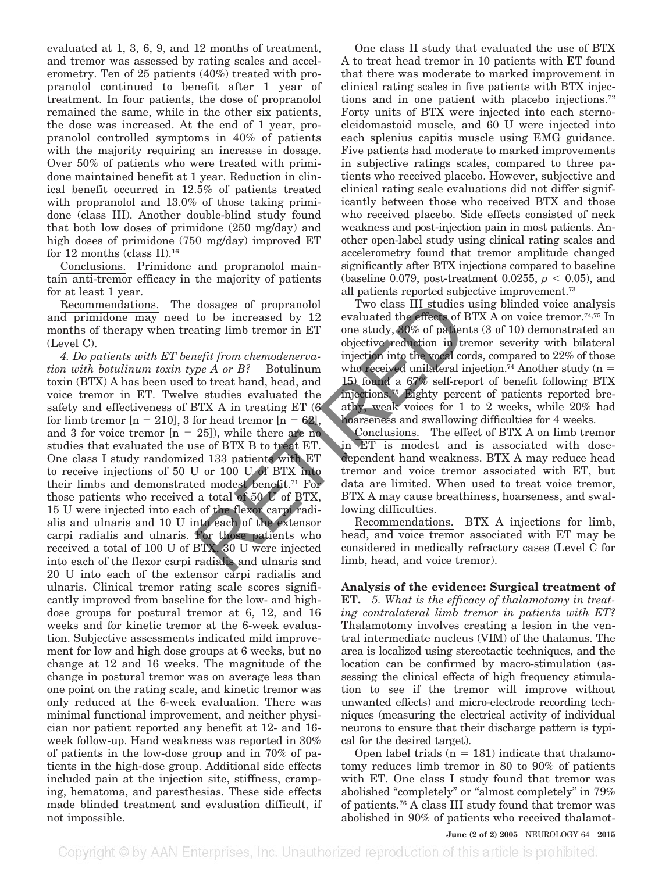evaluated at 1, 3, 6, 9, and 12 months of treatment, and tremor was assessed by rating scales and accelerometry. Ten of 25 patients (40%) treated with propranolol continued to benefit after 1 year of treatment. In four patients, the dose of propranolol remained the same, while in the other six patients, the dose was increased. At the end of 1 year, propranolol controlled symptoms in 40% of patients with the majority requiring an increase in dosage. Over 50% of patients who were treated with primidone maintained benefit at 1 year. Reduction in clinical benefit occurred in 12.5% of patients treated with propranolol and 13.0% of those taking primidone (class III). Another double-blind study found that both low doses of primidone (250 mg/day) and high doses of primidone (750 mg/day) improved ET for 12 months (class II).<sup>16</sup>

Conclusions. Primidone and propranolol maintain anti-tremor efficacy in the majority of patients for at least 1 year.

Recommendations. The dosages of propranolol and primidone may need to be increased by 12 months of therapy when treating limb tremor in ET (Level C).

*4. Do patients with ET benefit from chemodenervation with botulinum toxin type A or B?* Botulinum toxin (BTX) A has been used to treat hand, head, and voice tremor in ET. Twelve studies evaluated the safety and effectiveness of BTX A in treating ET (6 for limb tremor  $[n = 210]$ , 3 for head tremor  $[n = 62]$ , and 3 for voice tremor  $[n = 25]$ , while there are no studies that evaluated the use of BTX B to treat ET. One class I study randomized 133 patients with ET to receive injections of 50 U or 100 U of BTX into their limbs and demonstrated modest benefit.71 For those patients who received a total of  $50 \text{ U}$  of BTX, 15 U were injected into each of the flexor carpi radialis and ulnaris and 10 U into each of the extensor carpi radialis and ulnaris. For those patients who received a total of 100 U of BTX, 30 U were injected into each of the flexor carpi radialis and ulnaris and 20 U into each of the extensor carpi radialis and ulnaris. Clinical tremor rating scale scores significantly improved from baseline for the low- and highdose groups for postural tremor at 6, 12, and 16 weeks and for kinetic tremor at the 6-week evaluation. Subjective assessments indicated mild improvement for low and high dose groups at 6 weeks, but no change at 12 and 16 weeks. The magnitude of the change in postural tremor was on average less than one point on the rating scale, and kinetic tremor was only reduced at the 6-week evaluation. There was minimal functional improvement, and neither physician nor patient reported any benefit at 12- and 16 week follow-up. Hand weakness was reported in 30% of patients in the low-dose group and in 70% of patients in the high-dose group. Additional side effects included pain at the injection site, stiffness, cramping, hematoma, and paresthesias. These side effects made blinded treatment and evaluation difficult, if not impossible. dosages of propranolol Two class III studies<br>to be increased by 12 evaluated the effects of E<br>ating limb tremor in ET one study, 50% of patien<br>nefit from chemodeneryation in the veck condition<br>in the veck of the veck of t

One class II study that evaluated the use of BTX A to treat head tremor in 10 patients with ET found that there was moderate to marked improvement in clinical rating scales in five patients with BTX injections and in one patient with placebo injections.72 Forty units of BTX were injected into each sternocleidomastoid muscle, and 60 U were injected into each splenius capitis muscle using EMG guidance. Five patients had moderate to marked improvements in subjective ratings scales, compared to three patients who received placebo. However, subjective and clinical rating scale evaluations did not differ significantly between those who received BTX and those who received placebo. Side effects consisted of neck weakness and post-injection pain in most patients. Another open-label study using clinical rating scales and accelerometry found that tremor amplitude changed significantly after BTX injections compared to baseline  $\alpha$  (baseline 0.079, post-treatment 0.0255,  $p < 0.05$ ), and all patients reported subjective improvement.73

Two class III studies using blinded voice analysis evaluated the effects of BTX A on voice tremor.<sup>74,75</sup> In one study, 30% of patients (3 of 10) demonstrated an objective reduction in tremor severity with bilateral injection into the vocal cords, compared to 22% of those who received unilateral injection.<sup>74</sup> Another study  $(n =$ 15) found a 67% self-report of benefit following BTX injections.75 Eighty percent of patients reported breathy, weak voices for 1 to 2 weeks, while 20% had hoarseness and swallowing difficulties for 4 weeks.

Conclusions. The effect of BTX A on limb tremor in ET is modest and is associated with dosedependent hand weakness. BTX A may reduce head tremor and voice tremor associated with ET, but data are limited. When used to treat voice tremor, BTX A may cause breathiness, hoarseness, and swallowing difficulties.

Recommendations. BTX A injections for limb, head, and voice tremor associated with ET may be considered in medically refractory cases (Level C for limb, head, and voice tremor).

#### **Analysis of the evidence: Surgical treatment of**

**ET.** *5. What is the efficacy of thalamotomy in treating contralateral limb tremor in patients with ET?* Thalamotomy involves creating a lesion in the ventral intermediate nucleus (VIM) of the thalamus. The area is localized using stereotactic techniques, and the location can be confirmed by macro-stimulation (assessing the clinical effects of high frequency stimulation to see if the tremor will improve without unwanted effects) and micro-electrode recording techniques (measuring the electrical activity of individual neurons to ensure that their discharge pattern is typical for the desired target).

Open label trials  $(n = 181)$  indicate that thalamotomy reduces limb tremor in 80 to 90% of patients with ET. One class I study found that tremor was abolished "completely" or "almost completely" in 79% of patients.76 A class III study found that tremor was abolished in 90% of patients who received thalamot-

**June (2 of 2) 2005** NEUROLOGY 64 **2015**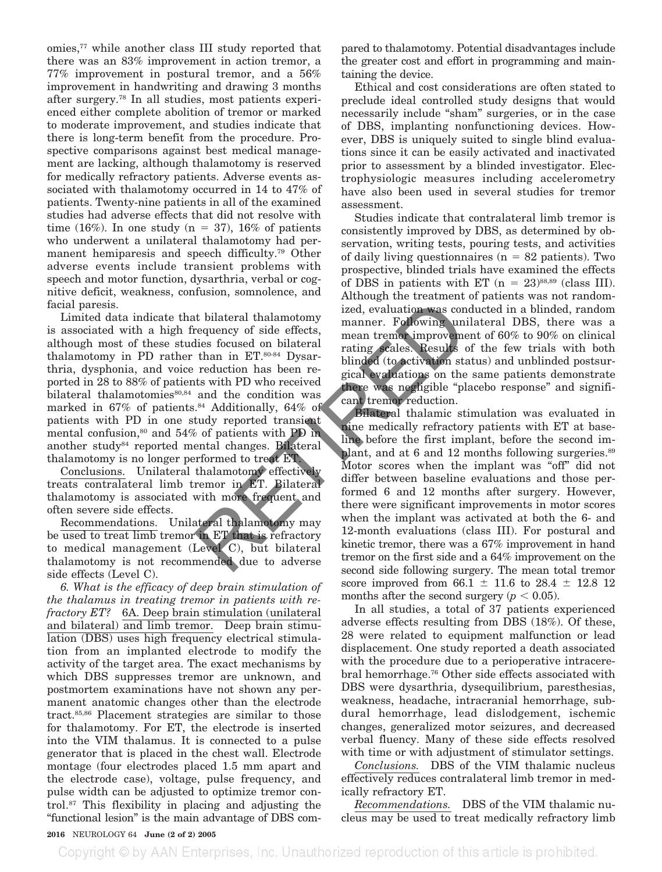omies,77 while another class III study reported that there was an 83% improvement in action tremor, a 77% improvement in postural tremor, and a 56% improvement in handwriting and drawing 3 months after surgery.78 In all studies, most patients experienced either complete abolition of tremor or marked to moderate improvement, and studies indicate that there is long-term benefit from the procedure. Prospective comparisons against best medical management are lacking, although thalamotomy is reserved for medically refractory patients. Adverse events associated with thalamotomy occurred in 14 to 47% of patients. Twenty-nine patients in all of the examined studies had adverse effects that did not resolve with time (16%). In one study ( $n = 37$ ), 16% of patients who underwent a unilateral thalamotomy had permanent hemiparesis and speech difficulty.79 Other adverse events include transient problems with speech and motor function, dysarthria, verbal or cognitive deficit, weakness, confusion, somnolence, and facial paresis.

Limited data indicate that bilateral thalamotomy is associated with a high frequency of side effects, although most of these studies focused on bilateral thalamotomy in PD rather than in ET.80-84 Dysarthria, dysphonia, and voice reduction has been reported in 28 to 88% of patients with PD who received bilateral thalamotomies $80,84$  and the condition was marked in 67% of patients.<sup>84</sup> Additionally, 64% of patients with PD in one study reported transient mental confusion,<sup>80</sup> and 54% of patients with PD in another study84 reported mental changes. Bilateral thalamotomy is no longer performed to treat ET.

Conclusions. Unilateral thalamotomy effectively treats contralateral limb tremor in ET. Bilateral thalamotomy is associated with more frequent and often severe side effects.

Recommendations. Unilateral thalamotomy may be used to treat limb tremor in ET that is refractory to medical management (Level C), but bilateral thalamotomy is not recommended due to adverse side effects (Level C).

*6. What is the efficacy of deep brain stimulation of the thalamus in treating tremor in patients with refractory ET?* 6A. Deep brain stimulation (unilateral and bilateral) and limb tremor. Deep brain stimulation (DBS) uses high frequency electrical stimulation from an implanted electrode to modify the activity of the target area. The exact mechanisms by which DBS suppresses tremor are unknown, and postmortem examinations have not shown any permanent anatomic changes other than the electrode tract.85,86 Placement strategies are similar to those for thalamotomy. For ET, the electrode is inserted into the VIM thalamus. It is connected to a pulse generator that is placed in the chest wall. Electrode montage (four electrodes placed 1.5 mm apart and the electrode case), voltage, pulse frequency, and pulse width can be adjusted to optimize tremor control.87 This flexibility in placing and adjusting the "functional lesion" is the main advantage of DBS compared to thalamotomy. Potential disadvantages include the greater cost and effort in programming and maintaining the device.

Ethical and cost considerations are often stated to preclude ideal controlled study designs that would necessarily include "sham" surgeries, or in the case of DBS, implanting nonfunctioning devices. However, DBS is uniquely suited to single blind evaluations since it can be easily activated and inactivated prior to assessment by a blinded investigator. Electrophysiologic measures including accelerometry have also been used in several studies for tremor assessment.

Studies indicate that contralateral limb tremor is consistently improved by DBS, as determined by observation, writing tests, pouring tests, and activities of daily living questionnaires ( $n = 82$  patients). Two prospective, blinded trials have examined the effects of DBS in patients with ET  $(n = 23)^{88,89}$  (class III). Although the treatment of patients was not randomized, evaluation was conducted in a blinded, random manner. Following unilateral DBS, there was a mean tremor improvement of 60% to 90% on clinical rating scales. Results of the few trials with both blinded (to activation status) and unblinded postsurgical evaluations on the same patients demonstrate there was negligible "placebo response" and significant tremor reduction.

Bilateral thalamic stimulation was evaluated in nine medically refractory patients with ET at baseline before the first implant, before the second implant, and at 6 and 12 months following surgeries.<sup>89</sup> Motor scores when the implant was "off" did not differ between baseline evaluations and those performed 6 and 12 months after surgery. However, there were significant improvements in motor scores when the implant was activated at both the 6- and 12-month evaluations (class III). For postural and kinetic tremor, there was a 67% improvement in hand tremor on the first side and a 64% improvement on the second side following surgery. The mean total tremor score improved from 66.1  $\pm$  11.6 to 28.4  $\pm$  12.8 12 months after the second surgery  $(p < 0.05)$ . The interval to a distribution of the sequence of the main and the control of the main of the main of the main of the main of the main of the main of the main of the main of the main of the main and the condition and the c

In all studies, a total of 37 patients experienced adverse effects resulting from DBS (18%). Of these, 28 were related to equipment malfunction or lead displacement. One study reported a death associated with the procedure due to a perioperative intracerebral hemorrhage.76 Other side effects associated with DBS were dysarthria, dysequilibrium, paresthesias, weakness, headache, intracranial hemorrhage, subdural hemorrhage, lead dislodgement, ischemic changes, generalized motor seizures, and decreased verbal fluency. Many of these side effects resolved with time or with adjustment of stimulator settings.

*Conclusions.* DBS of the VIM thalamic nucleus effectively reduces contralateral limb tremor in medically refractory ET.

*Recommendations.* DBS of the VIM thalamic nucleus may be used to treat medically refractory limb

#### **2016** NEUROLOGY 64 **June (2 of 2) 2005**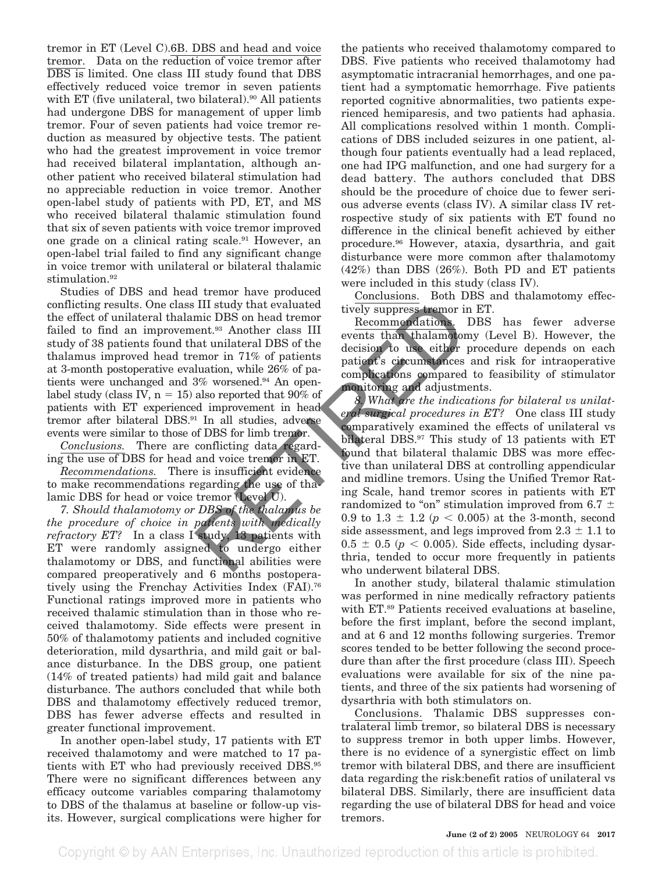tremor in ET (Level C).6B. DBS and head and voice tremor. Data on the reduction of voice tremor after DBS is limited. One class III study found that DBS effectively reduced voice tremor in seven patients with ET (five unilateral, two bilateral).<sup>90</sup> All patients had undergone DBS for management of upper limb tremor. Four of seven patients had voice tremor reduction as measured by objective tests. The patient who had the greatest improvement in voice tremor had received bilateral implantation, although another patient who received bilateral stimulation had no appreciable reduction in voice tremor. Another open-label study of patients with PD, ET, and MS who received bilateral thalamic stimulation found that six of seven patients with voice tremor improved one grade on a clinical rating scale.91 However, an open-label trial failed to find any significant change in voice tremor with unilateral or bilateral thalamic stimulation.<sup>92</sup>

Studies of DBS and head tremor have produced conflicting results. One class III study that evaluated the effect of unilateral thalamic DBS on head tremor failed to find an improvement.<sup>93</sup> Another class III study of 38 patients found that unilateral DBS of the thalamus improved head tremor in 71% of patients at 3-month postoperative evaluation, while 26% of patients were unchanged and 3% worsened.<sup>94</sup> An openlabel study (class IV,  $n = 15$ ) also reported that 90% of patients with ET experienced improvement in head tremor after bilateral DBS.91 In all studies, adverse events were similar to those of DBS for limb tremor.

*Conclusions.* There are conflicting data regarding the use of DBS for head and voice tremor in ET.

*Recommendations.* There is insufficient evidence to make recommendations regarding the use of thalamic DBS for head or voice tremor (Level U).

*7. Should thalamotomy or DBS of the thalamus be the procedure of choice in patients with medically refractory ET?* In a class I study, 13 patients with ET were randomly assigned to undergo either thalamotomy or DBS, and functional abilities were compared preoperatively and 6 months postoperatively using the Frenchay Activities Index (FAI).76 Functional ratings improved more in patients who received thalamic stimulation than in those who received thalamotomy. Side effects were present in 50% of thalamotomy patients and included cognitive deterioration, mild dysarthria, and mild gait or balance disturbance. In the DBS group, one patient (14% of treated patients) had mild gait and balance disturbance. The authors concluded that while both DBS and thalamotomy effectively reduced tremor, DBS has fewer adverse effects and resulted in greater functional improvement.

In another open-label study, 17 patients with ET received thalamotomy and were matched to 17 patients with ET who had previously received DBS.95 There were no significant differences between any efficacy outcome variables comparing thalamotomy to DBS of the thalamus at baseline or follow-up visits. However, surgical complications were higher for

the patients who received thalamotomy compared to DBS. Five patients who received thalamotomy had asymptomatic intracranial hemorrhages, and one patient had a symptomatic hemorrhage. Five patients reported cognitive abnormalities, two patients experienced hemiparesis, and two patients had aphasia. All complications resolved within 1 month. Complications of DBS included seizures in one patient, although four patients eventually had a lead replaced, one had IPG malfunction, and one had surgery for a dead battery. The authors concluded that DBS should be the procedure of choice due to fewer serious adverse events (class IV). A similar class IV retrospective study of six patients with ET found no difference in the clinical benefit achieved by either procedure.96 However, ataxia, dysarthria, and gait disturbance were more common after thalamotomy (42%) than DBS (26%). Both PD and ET patients were included in this study (class IV).

Conclusions. Both DBS and thalamotomy effectively suppress tremor in ET.

Recommendations. DBS has fewer adverse events than thalamotomy (Level B). However, the decision to use either procedure depends on each patient's circumstances and risk for intraoperative complications compared to feasibility of stimulator monitoring and adjustments.

*8. What are the indications for bilateral vs unilateral surgical procedures in ET?* One class III study comparatively examined the effects of unilateral vs bilateral DBS.<sup>97</sup> This study of 13 patients with ET found that bilateral thalamic DBS was more effective than unilateral DBS at controlling appendicular and midline tremors. Using the Unified Tremor Rating Scale, hand tremor scores in patients with ET randomized to "on" stimulation improved from 6.7  $\pm$  $0.9 \text{ to } 1.3 \pm 1.2 \text{ ($p < 0.005$) at the 3-month, second)}$ side assessment, and legs improved from  $2.3 \pm 1.1$  to  $0.5 \pm 0.5$  ( $p < 0.005$ ). Side effects, including dysarthria, tended to occur more frequently in patients who underwent bilateral DBS. III study that evaluated<br>
eights uppress tremor in<br>
ent.<sup>33</sup> Another class III<br>
and unilateral DBS of the<br>
luation, while 26% of paints than thalamotor<br>
luation, while 26% of paints of paints of paints and that<br>
luation i

> In another study, bilateral thalamic stimulation was performed in nine medically refractory patients with ET.<sup>89</sup> Patients received evaluations at baseline, before the first implant, before the second implant, and at 6 and 12 months following surgeries. Tremor scores tended to be better following the second procedure than after the first procedure (class III). Speech evaluations were available for six of the nine patients, and three of the six patients had worsening of dysarthria with both stimulators on.

> Conclusions. Thalamic DBS suppresses contralateral limb tremor, so bilateral DBS is necessary to suppress tremor in both upper limbs. However, there is no evidence of a synergistic effect on limb tremor with bilateral DBS, and there are insufficient data regarding the risk:benefit ratios of unilateral vs bilateral DBS. Similarly, there are insufficient data regarding the use of bilateral DBS for head and voice tremors.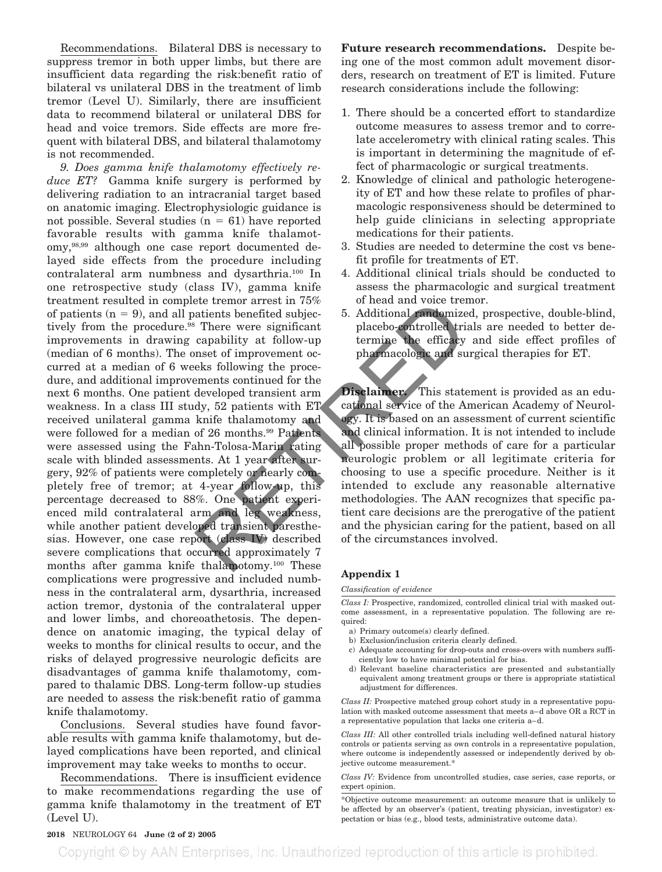Recommendations. Bilateral DBS is necessary to suppress tremor in both upper limbs, but there are insufficient data regarding the risk:benefit ratio of bilateral vs unilateral DBS in the treatment of limb tremor (Level U). Similarly, there are insufficient data to recommend bilateral or unilateral DBS for head and voice tremors. Side effects are more frequent with bilateral DBS, and bilateral thalamotomy is not recommended.

*9. Does gamma knife thalamotomy effectively reduce ET?* Gamma knife surgery is performed by delivering radiation to an intracranial target based on anatomic imaging. Electrophysiologic guidance is not possible. Several studies  $(n = 61)$  have reported favorable results with gamma knife thalamotomy,98,99 although one case report documented delayed side effects from the procedure including contralateral arm numbness and dysarthria.100 In one retrospective study (class IV), gamma knife treatment resulted in complete tremor arrest in 75% of patients  $(n = 9)$ , and all patients benefited subjectively from the procedure.<sup>98</sup> There were significant improvements in drawing capability at follow-up (median of 6 months). The onset of improvement occurred at a median of 6 weeks following the procedure, and additional improvements continued for the next 6 months. One patient developed transient arm weakness. In a class III study, 52 patients with ET received unilateral gamma knife thalamotomy and were followed for a median of 26 months.<sup>99</sup> Patients were assessed using the Fahn-Tolosa-Marin rating scale with blinded assessments. At 1 year after surgery, 92% of patients were completely or nearly completely free of tremor; at 4-year follow-up, this percentage decreased to 88%. One patient experienced mild contralateral arm and leg weakness, while another patient developed transient paresthesias. However, one case report (class IV) described severe complications that occurred approximately 7 months after gamma knife thalamotomy.100 These complications were progressive and included numbness in the contralateral arm, dysarthria, increased action tremor, dystonia of the contralateral upper and lower limbs, and choreoathetosis. The dependence on anatomic imaging, the typical delay of weeks to months for clinical results to occur, and the risks of delayed progressive neurologic deficits are disadvantages of gamma knife thalamotomy, compared to thalamic DBS. Long-term follow-up studies are needed to assess the risk:benefit ratio of gamma knife thalamotomy. Exerce tremor arrest in 73% of head and voice tremor arrest in 73% of head and voice tremor arrest in 73% of head and voice tremor arrest of improvement of the efficiency mused of the efficiency energy and such that the de

Conclusions. Several studies have found favorable results with gamma knife thalamotomy, but delayed complications have been reported, and clinical improvement may take weeks to months to occur.

Recommendations. There is insufficient evidence to make recommendations regarding the use of gamma knife thalamotomy in the treatment of ET (Level U).

**Future research recommendations.** Despite being one of the most common adult movement disorders, research on treatment of ET is limited. Future research considerations include the following:

- 1. There should be a concerted effort to standardize outcome measures to assess tremor and to correlate accelerometry with clinical rating scales. This is important in determining the magnitude of effect of pharmacologic or surgical treatments.
- 2. Knowledge of clinical and pathologic heterogeneity of ET and how these relate to profiles of pharmacologic responsiveness should be determined to help guide clinicians in selecting appropriate medications for their patients.
- 3. Studies are needed to determine the cost vs benefit profile for treatments of ET.
- 4. Additional clinical trials should be conducted to assess the pharmacologic and surgical treatment of head and voice tremor.
- 5. Additional randomized, prospective, double-blind, placebo-controlled trials are needed to better determine the efficacy and side effect profiles of pharmacologic and surgical therapies for ET.

**Disclaimer.** This statement is provided as an educational service of the American Academy of Neurology. It is based on an assessment of current scientific and clinical information. It is not intended to include all possible proper methods of care for a particular neurologic problem or all legitimate criteria for choosing to use a specific procedure. Neither is it intended to exclude any reasonable alternative methodologies. The AAN recognizes that specific patient care decisions are the prerogative of the patient and the physician caring for the patient, based on all of the circumstances involved.

#### **Appendix 1**

*Classification of evidence*

*Class I:* Prospective, randomized, controlled clinical trial with masked outcome assessment, in a representative population. The following are required:

- a) Primary outcome(s) clearly defined.
- b) Exclusion/inclusion criteria clearly defined.
- c) Adequate accounting for drop-outs and cross-overs with numbers sufficiently low to have minimal potential for bias.
- d) Relevant baseline characteristics are presented and substantially equivalent among treatment groups or there is appropriate statistical adjustment for differences.

*Class II:* Prospective matched group cohort study in a representative population with masked outcome assessment that meets a– d above OR a RCT in a representative population that lacks one criteria a– d.

*Class III:* All other controlled trials including well-defined natural history controls or patients serving as own controls in a representative population, where outcome is independently assessed or independently derived by objective outcome measurement.\*

*Class IV:* Evidence from uncontrolled studies, case series, case reports, or expert opinion.

\*Objective outcome measurement: an outcome measure that is unlikely to be affected by an observer's (patient, treating physician, investigator) expectation or bias (e.g., blood tests, administrative outcome data).

#### **2018** NEUROLOGY 64 **June (2 of 2) 2005**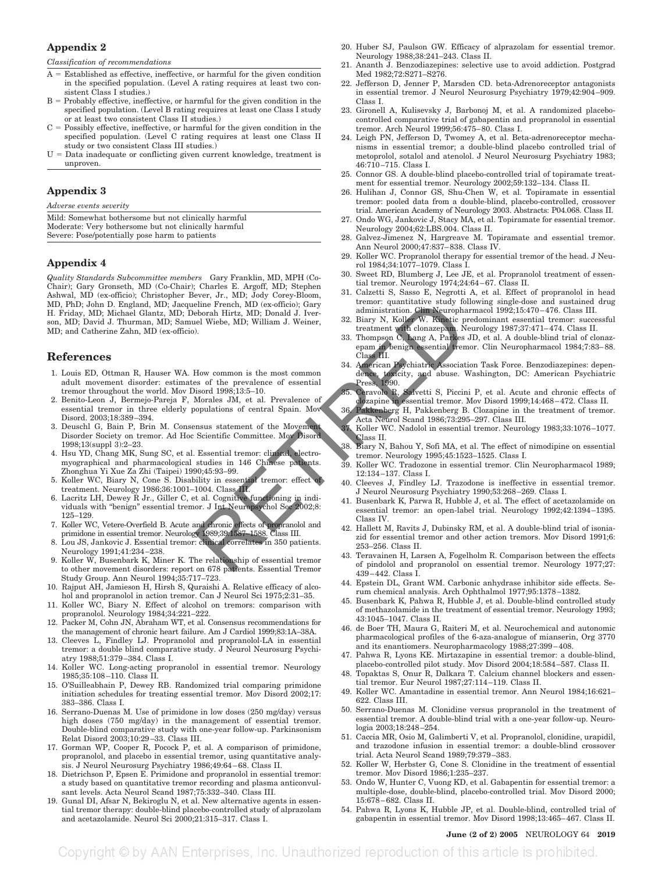#### **Appendix 2**

#### *Classification of recommendations*

- $\overline{A}$  = Established as effective, ineffective, or harmful for the given condition in the specified population. (Level A rating requires at least two consistent Class I studies.)
- $B =$  Probably effective, ineffective, or harmful for the given condition in the specified population. (Level B rating requires at least one Class I study or at least two consistent Class II studies.)
- $C =$  Possibly effective, ineffective, or harmful for the given condition in the specified population. (Level C rating requires at least one Class II study or two consistent Class III studies.)
- $U = Data$  inadequate or conflicting given current knowledge, treatment is unproven.

#### **Appendix 3**

*Adverse events severity*

Mild: Somewhat bothersome but not clinically harmful Moderate: Very bothersome but not clinically harmful Severe: Pose/potentially pose harm to patients

#### **Appendix 4**

*Quality Standards Subcommittee members* Gary Franklin, MD, MPH (Co-Chair); Gary Gronseth, MD (Co-Chair); Charles E. Argoff, MD; Stephen Ashwal, MD (ex-officio); Christopher Bever, Jr., MD; Jody Corey-Bloom, MD, PhD; John D. England, MD; Jacqueline French, MD (ex-officio); Gary H. Friday, MD; Michael Glantz, MD; Deborah Hirtz, MD; Donald J. Iverson, MD; David J. Thurman, MD; Samuel Wiebe, MD; William J. Weiner, MD; and Catherine Zahn, MD (ex-officio). eline French, MD (ex-officio); Gary<br>
administration. Clin Neuropha Hirtz, MD; Donald J. Iver-<br>
administration. Clin Neuropha Neuropha Alex (M); William J. Weiner,<br>
administration. Clin Neuropha Neuropha Alex (M); William J

#### **References**

- 1. Louis ED, Ottman R, Hauser WA. How common is the most common adult movement disorder: estimates of the prevalence of essential tremor throughout the world. Mov Disord 1998;13:5–10.
- 2. Benito-Leon J, Bermejo-Pareja F, Morales JM, et al. Prevalence of essential tremor in three elderly populations of central Spain. Mov Disord. 2003;18:389 –394.
- 3. Deuschl G, Bain P, Brin M. Consensus statement of the Movement Disorder Society on tremor. Ad Hoc Scientific Committee. Mov Disord 1998;13(suppl 3):2–23.
- 4. Hsu YD, Chang MK, Sung SC, et al. Essential tremor: clinical, electromyographical and pharmacological studies in 146 Chinese patients. Zhonghua Yi Xue Za Zhi (Taipei) 1990;45:93–99.
- 5. Koller WC, Biary N, Cone S. Disability in essential tremor: effect of treatment. Neurology 1986;36:1001–1004. Class III.
- 6. Lacritz LH, Dewey R Jr., Giller C, et al. Cognitive functioning in individuals with "benign" essential tremor. J Int Neuropsychol Soc 2002;8: 125–129.
- 7. Koller WC, Vetere-Overfield B. Acute and chronic effects of propranolol and primidone in essential tremor. Neurology 1989;39:1587–1588. Class III.
- 8. Lou JS, Jankovic J. Essential tremor: clinical correlates in 350 patients. Neurology 1991;41:234 –238.
- 9. Koller W, Busenbark K, Miner K. The relationship of essential tremor to other movement disorders: report on 678 patients. Essential Tremor Study Group. Ann Neurol 1994;35:717–723.
- 10. Rajput AH, Jamieson H, Hirsh S, Quraishi A. Relative efficacy of alcohol and propranolol in action tremor. Can J Neurol Sci 1975;2:31–35.
- 11. Koller WC, Biary N. Effect of alcohol on tremors: comparison with propranolol. Neurology 1984;34:221–222.
- 12. Packer M, Cohn JN, Abraham WT, et al. Consensus recommendations for the management of chronic heart failure. Am J Cardiol 1999;83:1A–38A.
- 13. Cleeves L, Findley LJ. Propranolol and propranolol-LA in essential tremor: a double blind comparative study. J Neurol Neurosurg Psychiatry 1988;51:379 –384. Class I.
- 14. Koller WC. Long-acting propranolol in essential tremor. Neurology 1985;35:108 –110. Class II.
- 15. O'Suilleabhain P, Dewey RB. Randomized trial comparing primidone initiation schedules for treating essential tremor. Mov Disord 2002;17: 383–386. Class I.
- 16. Serrano-Duenas M. Use of primidone in low doses (250 mg/day) versus high doses (750 mg/day) in the management of essential tremor. Double-blind comparative study with one-year follow-up. Parkinsonism Relat Disord 2003;10:29 –33. Class III.
- 17. Gorman WP, Cooper R, Pocock P, et al. A comparison of primidone, propranolol, and placebo in essential tremor, using quantitative analysis. J Neurol Neurosurg Psychiatry 1986;49:64 – 68. Class II.
- 18. Dietrichson P, Epsen E. Primidone and propranolol in essential tremor: a study based on quantitative tremor recording and plasma anticonvulsant levels. Acta Neurol Scand 1987;75:332–340. Class III.
- 19. Gunal DI, Afsar N, Bekiroglu N, et al. New alternative agents in essential tremor therapy: double-blind placebo-controlled study of alprazolam and acetazolamide. Neurol Sci 2000;21:315–317. Class I.
- 20. Huber SJ, Paulson GW. Efficacy of alprazolam for essential tremor. Neurology 1988;38:241–243. Class II.
- 21. Ananth J. Benzodiazepines: selective use to avoid addiction. Postgrad Med 1982;72:S271–S276.
- 22. Jefferson D, Jenner P, Marsden CD. beta-Adrenoreceptor antagonists in essential tremor. J Neurol Neurosurg Psychiatry 1979;42:904 –909. Class I.
- 23. Gironell A, Kulisevsky J, Barbonoj M, et al. A randomized placebocontrolled comparative trial of gabapentin and propranolol in essential tremor. Arch Neurol 1999;56:475– 80. Class I.
- 24. Leigh PN, Jefferson D, Twomey A, et al. Beta-adrenoreceptor mechanisms in essential tremor; a double-blind placebo controlled trial of metoprolol, sotalol and atenolol. J Neurol Neurosurg Psychiatry 1983; 46:710 –715. Class I.
- 25. Connor GS. A double-blind placebo-controlled trial of topiramate treatment for essential tremor. Neurology 2002;59:132–134. Class II.
- 26. Hulihan J, Connor GS, Shu-Chen W, et al. Topiramate in essential tremor: pooled data from a double-blind, placebo-controlled, crossover trial. American Academy of Neurology 2003. Abstracts: P04.068. Class II.
- 27. Ondo WG, Jankovic J, Stacy MA, et al. Topiramate for essential tremor. Neurology 2004;62:LBS.004. Class II.
- 28. Galvez-Jimenez N, Hargreave M. Topiramate and essential tremor. Ann Neurol 2000;47:837– 838. Class IV.
- 29. Koller WC. Propranolol therapy for essential tremor of the head. J Neurol 1984;34:1077–1079. Class I.
- 30. Sweet RD, Blumberg J, Lee JE, et al. Propranolol treatment of essential tremor. Neurology 1974;24:64 – 67. Class II.
- 31. Calzetti S, Sasso E, Negrotti A, et al. Effect of propranolol in head tremor: quantitative study following single-dose and sustained drug administration. Clin Neuropharmacol 1992;15:470-476. Class III.
- 32. Biary N, Koller W. Kinetic predominant essential tremor: successful treatment with clonazepam. Neurology 1987;37:471– 474. Class II.
- 33. Thompson C, Lang A, Parkes JD, et al. A double-blind trial of clonazepam in benign essential tremor. Clin Neuropharmacol 1984;7:83– 88. Class III.
- 34. American Psychiatric Association Task Force. Benzodiazepines: depen-<br>dence, toxicity, and abuse. Washington, DC: American Psychiatric toxicity, and abuse. Washington, DC: American Psychiatric Press, 1990.
- 35. Ceravolo R, Salvetti S, Piccini P, et al. Acute and chronic effects of clozapine in essential tremor. Mov Disord 1999;14:468 – 472. Class II. 36. Pakkenberg H, Pakkenberg B. Clozapine in the treatment of tremor.
- Acta Neurol Scand 1986;73:295–297. Class III. 37. Koller WC. Nadolol in essential tremor. Neurology 1983;33:1076 –1077.
- Class II. 38. Biary N, Bahou Y, Sofi MA, et al. The effect of nimodipine on essential
- tremor. Neurology 1995;45:1523–1525. Class I.
- 39. Koller WC. Tradozone in essential tremor. Clin Neuropharmacol 1989; 12:134 –137. Class I.
- 40. Cleeves J, Findley LJ. Trazodone is ineffective in essential tremor. J Neurol Neurosurg Psychiatry 1990;53:268 –269. Class I.
- 41. Busenbark K, Parwa R, Hubble J, et al. The effect of acetazolamide on essential tremor: an open-label trial. Neurology 1992;42:1394 –1395. Class IV.
- 42. Hallett M, Ravits J, Dubinsky RM, et al. A double-blind trial of isoniazid for essential tremor and other action tremors. Mov Disord 1991;6: 253–256. Class II.
- 43. Teravainen H, Larsen A, Fogelholm R. Comparison between the effects of pindolol and propranolol on essential tremor. Neurology 1977;27: 439 – 442. Class I.
- 44. Epstein DL, Grant WM. Carbonic anhydrase inhibitor side effects. Serum chemical analysis. Arch Ophthalmol 1977;95:1378 –1382.
- 45. Busenbark K, Pahwa R, Hubble J, et al. Double-blind controlled study of methazolamide in the treatment of essential tremor. Neurology 1993; 43:1045–1047. Class II.
- 46. de Boer TH, Maura G, Raiteri M, et al. Neurochemical and autonomic pharmacological profiles of the 6-aza-analogue of mianserin, Org 3770 and its enantiomers. Neuropharmacology 1988;27:399 – 408.
- 47. Pahwa R, Lyons KE. Mirtazapine in essential tremor: a double-blind, placebo-controlled pilot study. Mov Disord 2004;18:584 –587. Class II.
- 48. Topaktas S, Onur R, Dalkara T. Calcium channel blockers and essential tremor. Eur Neurol 1987;27:114 –119. Class II.
- 49. Koller WC. Amantadine in essential tremor. Ann Neurol 1984;16:621– 622. Class III.
- 50. Serrano-Duenas M. Clonidine versus propranolol in the treatment of essential tremor. A double-blind trial with a one-year follow-up. Neurologia 2003;18:248 –254.
- 51. Caccia MR, Osio M, Galimberti V, et al. Propranolol, clonidine, urapidil, and trazodone infusion in essential tremor: a double-blind crossover trial. Acta Neurol Scand 1989;79:379 –383.
- 52. Koller W, Herbster G, Cone S. Clonidine in the treatment of essential tremor. Mov Disord 1986;1:235–237.
- 53. Ondo W, Hunter C, Vuong KD, et al. Gabapentin for essential tremor: a multiple-dose, double-blind, placebo-controlled trial. Mov Disord 2000; 15:678 – 682. Class II.
- 54. Pahwa R, Lyons K, Hubble JP, et al. Double-blind, controlled trial of gabapentin in essential tremor. Mov Disord 1998;13:465– 467. Class II.

#### **June (2 of 2) 2005** NEUROLOGY 64 **2019**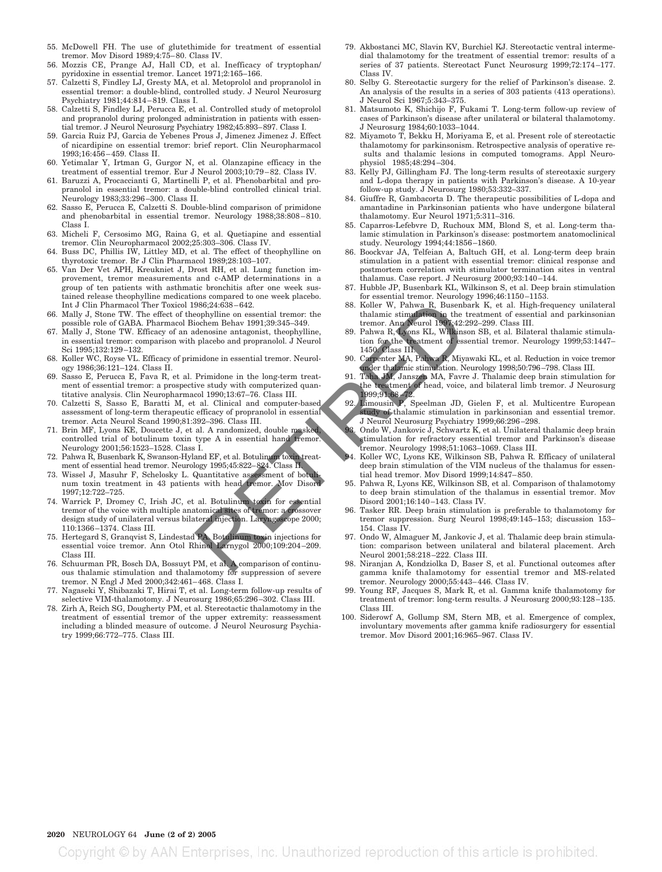- 55. McDowell FH. The use of glutethimide for treatment of essential tremor. Mov Disord 1989;4:75– 80. Class IV.
- 56. Mozzis CE, Prange AJ, Hall CD, et al. Inefficacy of tryptophan/ pyridoxine in essential tremor. Lancet 1971;2:165–166.
- 57. Calzetti S, Findley LJ, Gresty MA, et al. Metoprolol and propranolol in essential tremor: a double-blind, controlled study. J Neurol Neurosurg Psychiatry 1981;44:814 – 819. Class I.
- 58. Calzetti S, Findley LJ, Perucca E, et al. Controlled study of metoprolol and propranolol during prolonged administration in patients with essential tremor. J Neurol Neurosurg Psychiatry 1982;45:893–897. Class I.
- 59. Garcia Ruiz PJ, Garcia de Yebenes Prous J, Jimenez Jimenez J. Effect of nicardipine on essential tremor: brief report. Clin Neuropharmacol 1993;16:456 – 459. Class II.
- 60. Yetimalar Y, Irtman G, Gurgor N, et al. Olanzapine efficacy in the treatment of essential tremor. Eur J Neurol 2003;10:79 – 82. Class IV.
- 61. Baruzzi A, Procaccianti G, Martinelli P, et al. Phenobarbital and propranolol in essential tremor: a double-blind controlled clinical trial. Neurology 1983;33:296 –300. Class II.
- 62. Sasso E, Perucca E, Calzetti S. Double-blind comparison of primidone and phenobarbital in essential tremor. Neurology 1988;38:808 – 810. Class I.
- 63. Micheli F, Cersosimo MG, Raina G, et al. Quetiapine and essential tremor. Clin Neuropharmacol 2002;25:303–306. Class IV.
- 64. Buss DC, Phillis IW, Littley MD, et al. The effect of theophylline on thyrotoxic tremor. Br J Clin Pharmacol 1989;28:103–107.
- 65. Van Der Vet APH, Kreukniet J, Drost RH, et al. Lung function improvement, tremor measurements and c-AMP determinations in a group of ten patients with asthmatic bronchitis after one week sustained release theophylline medications compared to one week placebo. Int J Clin Pharmacol Ther Toxicol 1986;24:638 – 642.
- 66. Mally J, Stone TW. The effect of theophylline on essential tremor: the possible role of GABA. Pharmacol Biochem Behav 1991;39:345–349.
- 67. Mally J, Stone TW. Efficacy of an adenosine antagonist, theophylline, in essential tremor: comparison with placebo and propranolol. J Neurol Sci 1995;132:129 –132.
- 68. Koller WC, Royse VL. Efficacy of primidone in essential tremor. Neurology 1986;36:121–124. Class II.
- 69. Sasso E, Perucca E, Fava R, et al. Primidone in the long-term treatment of essential tremor: a prospective study with computerized quantitative analysis. Clin Neuropharmacol 1990;13:67–76. Class III.
- 70. Calzetti S, Sasso E, Baratti M, et al. Clinical and computer-based assessment of long-term therapeutic efficacy of propranolol in essential tremor. Acta Neurol Scand 1990;81:392–396. Class III.
- 71. Brin MF, Lyons KE, Doucette J, et al. A randomized, double masked, controlled trial of botulinum toxin type A in essential hand tremor. Neurology 2001;56:1523–1528. Class I.
- 72. Pahwa R, Busenbark K, Swanson-Hyland EF, et al. Botulinum toxin treatment of essential head tremor. Neurology 1995;45:822–824. Class II.
- 73. Wissel J, Masuhr F, Schelosky L. Quantitative assessment of botulinum toxin treatment in 43 patients with head tremor. Mov Disord 1997;12:722–725.
- 74. Warrick P, Dromey C, Irish JC, et al. Botulinum toxin for essential tremor of the voice with multiple anatomical sites of tremor: a crossover design study of unilateral versus bilateral injection. Laryngoscope 2000; 110:1366 –1374. Class III. RETIRED
- 75. Hertegard S, Granqvist S, Lindestad PA. Botulinum toxin injections for essential voice tremor. Ann Otol Rhinol Larnygol 2000;109:204 –209. Class III.
- 76. Schuurman PR, Bosch DA, Bossuyt PM, et al. A comparison of continuous thalamic stimulation and thalamotomy for suppression of severe tremor. N Engl J Med 2000;342:461– 468. Class I.
- 77. Nagaseki Y, Shibazaki T, Hirai T, et al. Long-term follow-up results of selective VIM-thalamotomy. J Neurosurg 1986;65:296 –302. Class III.
- 78. Zirh A, Reich SG, Dougherty PM, et al. Stereotactic thalamotomy in the treatment of essential tremor of the upper extremity: reassessment including a blinded measure of outcome. J Neurol Neurosurg Psychiatry 1999;66:772–775. Class III.
- 79. Akbostanci MC, Slavin KV, Burchiel KJ. Stereotactic ventral intermedial thalamotomy for the treatment of essential tremor: results of a series of 37 patients. Stereotact Funct Neurosurg 1999;72:174 –177. Class IV.
- 80. Selby G. Stereotactic surgery for the relief of Parkinson's disease. 2. An analysis of the results in a series of 303 patients (413 operations). J Neurol Sci 1967;5:343–375.
- 81. Matsumoto K, Shichijo F, Fukami T. Long-term follow-up review of cases of Parkinson's disease after unilateral or bilateral thalamotomy. J Neurosurg 1984;60:1033–1044.
- 82. Miyamoto T, Bekku H, Moriyama E, et al. Present role of stereotactic thalamotomy for parkinsonism. Retrospective analysis of operative results and thalamic lesions in computed tomograms. Appl Neurophysiol 1985;48:294 –304.
- 83. Kelly PJ, Gillingham FJ. The long-term results of stereotaxic surgery and L-dopa therapy in patients with Parkinson's disease. A 10-year follow-up study. J Neurosurg 1980;53:332–337.
- 84. Giuffre R, Gambacorta D. The therapeutic possibilities of L-dopa and amantadine in Parkinsonian patients who have undergone bilateral thalamotomy. Eur Neurol 1971;5:311–316.
- 85. Caparros-Lefebvre D, Ruchoux MM, Blond S, et al. Long-term thalamic stimulation in Parkinson's disease: postmortem anatomoclinical study. Neurology 1994;44:1856 –1860.
- 86. Boockvar JA, Telfeian A, Baltuch GH, et al. Long-term deep brain stimulation in a patient with essential tremor: clinical response and postmortem correlation with stimulator termination sites in ventral thalamus. Case report. J Neurosurg 2000;93:140 –144.
- 87. Hubble JP, Busenbark KL, Wilkinson S, et al. Deep brain stimulation for essential tremor. Neurology 1996;46:1150 –1153.
- 88. Koller W, Pahwa R, Busenbark K, et al. High-frequency unilateral thalamic stimulation in the treatment of essential and parkinsonian tremor. Ann Neurol 1997;42:292–299. Class III.
- 89. Pahwa R, Lyons KL, Wilkinson SB, et al. Bilateral thalamic stimulation for the treatment of essential tremor. Neurology 1999;53:1447– 1450. Class III.
- 90. Carpenter MA, Pahwa R, Miyawaki KL, et al. Reduction in voice tremor under thalamic stimulation. Neurology 1998;50:796–798. Class III.
- 91. Taha JM, Janszen MA, Favre J. Thalamic deep brain stimulation for the treatment of head, voice, and bilateral limb tremor. J Neurosurg 1999;91:68 –72.
- 92. Limousin P, Speelman JD, Gielen F, et al. Multicentre European tudy of thalamic stimulation in parkinsonian and essential tremor. J Neurol Neurosurg Psychiatry 1999;66:296 –298.
- 93. Ondo W, Jankovic J, Schwartz K, et al. Unilateral thalamic deep brain stimulation for refractory essential tremor and Parkinson's disease tremor. Neurology 1998;51:1063–1069. Class III.
- 94. Koller WC, Lyons KE, Wilkinson SB, Pahwa R. Efficacy of unilateral deep brain stimulation of the VIM nucleus of the thalamus for essential head tremor. Mov Disord 1999;14:847– 850.
- 95. Pahwa R, Lyons KE, Wilkinson SB, et al. Comparison of thalamotomy to deep brain stimulation of the thalamus in essential tremor. Mov Disord 2001;16:140 –143. Class IV.
- 96. Tasker RR. Deep brain stimulation is preferable to thalamotomy for tremor suppression. Surg Neurol 1998;49:145–153; discussion 153– 154. Class IV.
- 97. Ondo W, Almaguer M, Jankovic J, et al. Thalamic deep brain stimulation: comparison between unilateral and bilateral placement. Arch Neurol 2001;58:218 –222. Class III.
- 98. Niranjan A, Kondziolka D, Baser S, et al. Functional outcomes after gamma knife thalamotomy for essential tremor and MS-related tremor. Neurology 2000;55:443– 446. Class IV.
- 99. Young RF, Jacques S, Mark R, et al. Gamma knife thalamotomy for treatment of tremor: long-term results. J Neurosurg 2000;93:128 –135. Class III.
- 100. Siderowf A, Gollump SM, Stern MB, et al. Emergence of complex, involuntary movements after gamma knife radiosurgery for essential tremor. Mov Disord 2001;16:965–967. Class IV.